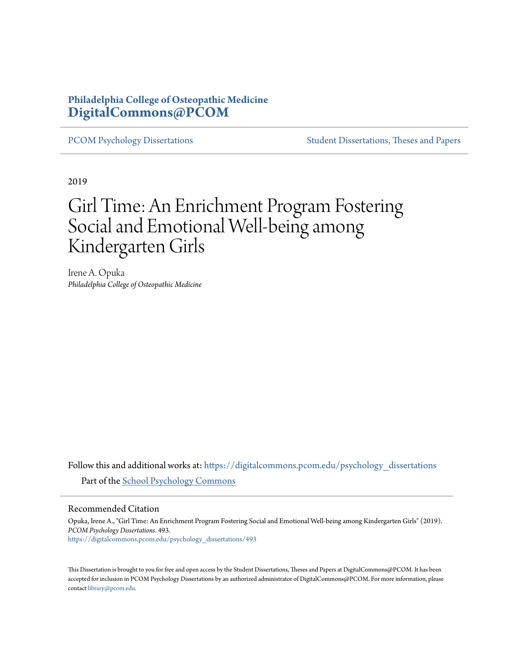## **Philadelphia College of Osteopathic Medicine [DigitalCommons@PCOM](https://digitalcommons.pcom.edu?utm_source=digitalcommons.pcom.edu%2Fpsychology_dissertations%2F493&utm_medium=PDF&utm_campaign=PDFCoverPages)**

[PCOM Psychology Dissertations](https://digitalcommons.pcom.edu/psychology_dissertations?utm_source=digitalcommons.pcom.edu%2Fpsychology_dissertations%2F493&utm_medium=PDF&utm_campaign=PDFCoverPages) [Student Dissertations, Theses and Papers](https://digitalcommons.pcom.edu/etds?utm_source=digitalcommons.pcom.edu%2Fpsychology_dissertations%2F493&utm_medium=PDF&utm_campaign=PDFCoverPages)

2019

# Girl Time: An Enrichment Program Fostering Social and Emotional Well-being among Kindergarten Girls

Irene A. Opuka *Philadelphia College of Osteopathic Medicine*

Follow this and additional works at: [https://digitalcommons.pcom.edu/psychology\\_dissertations](https://digitalcommons.pcom.edu/psychology_dissertations?utm_source=digitalcommons.pcom.edu%2Fpsychology_dissertations%2F493&utm_medium=PDF&utm_campaign=PDFCoverPages) Part of the [School Psychology Commons](http://network.bepress.com/hgg/discipline/1072?utm_source=digitalcommons.pcom.edu%2Fpsychology_dissertations%2F493&utm_medium=PDF&utm_campaign=PDFCoverPages)

#### Recommended Citation

Opuka, Irene A., "Girl Time: An Enrichment Program Fostering Social and Emotional Well-being among Kindergarten Girls" (2019). *PCOM Psychology Dissertations*. 493. [https://digitalcommons.pcom.edu/psychology\\_dissertations/493](https://digitalcommons.pcom.edu/psychology_dissertations/493?utm_source=digitalcommons.pcom.edu%2Fpsychology_dissertations%2F493&utm_medium=PDF&utm_campaign=PDFCoverPages)

This Dissertation is brought to you for free and open access by the Student Dissertations, Theses and Papers at DigitalCommons@PCOM. It has been accepted for inclusion in PCOM Psychology Dissertations by an authorized administrator of DigitalCommons@PCOM. For more information, please contact [library@pcom.edu.](mailto:library@pcom.edu)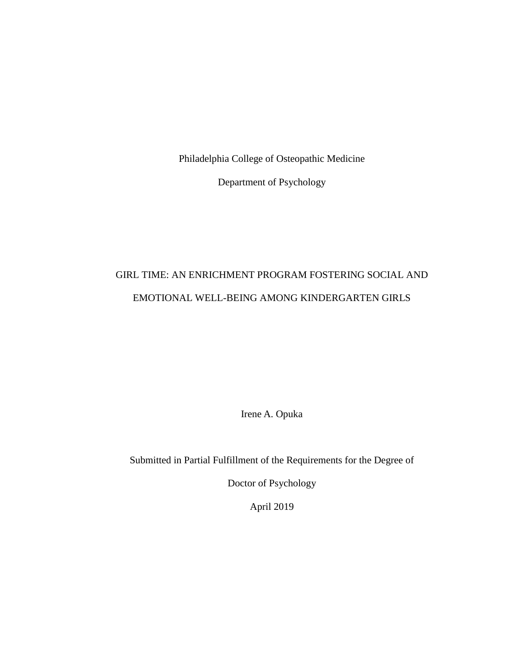Philadelphia College of Osteopathic Medicine

Department of Psychology

# GIRL TIME: AN ENRICHMENT PROGRAM FOSTERING SOCIAL AND EMOTIONAL WELL-BEING AMONG KINDERGARTEN GIRLS

Irene A. Opuka

Submitted in Partial Fulfillment of the Requirements for the Degree of

Doctor of Psychology

April 2019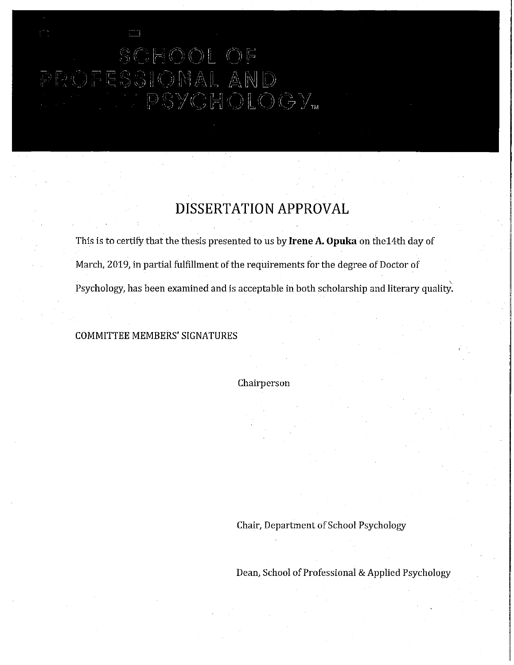# SCHOOL OF<br>DFESSIONAL AND<br>DFESSIONAL AND

## DISSERTATION APPROVAL

This is to certify that the thesis presented to us by Irene A. Opuka on the 14th day of March, 2019, in partial fulfillment of the requirements for the degree of Doctor of Psychology, has been examined and is acceptable in both scholarship and literary quality.

#### **COMMITTEE MEMBERS' SIGNATURES**

Chairperson

Chair, Department of School Psychology

Dean, School of Professional & Applied Psychology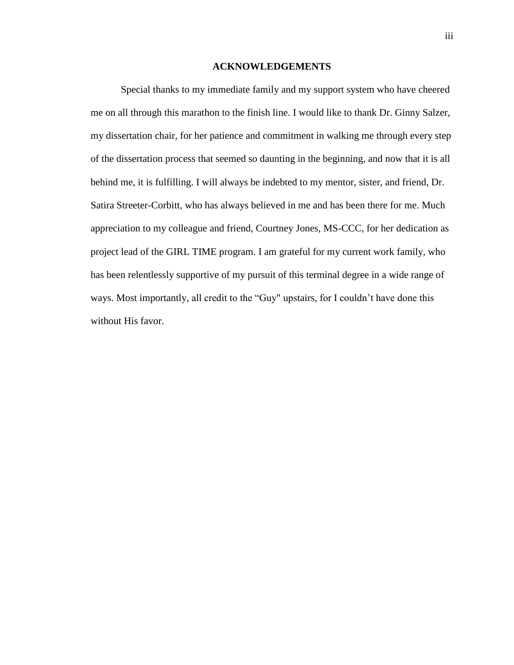#### **ACKNOWLEDGEMENTS**

<span id="page-3-0"></span>Special thanks to my immediate family and my support system who have cheered me on all through this marathon to the finish line. I would like to thank Dr. Ginny Salzer, my dissertation chair, for her patience and commitment in walking me through every step of the dissertation process that seemed so daunting in the beginning, and now that it is all behind me, it is fulfilling. I will always be indebted to my mentor, sister, and friend, Dr. Satira Streeter-Corbitt, who has always believed in me and has been there for me. Much appreciation to my colleague and friend, Courtney Jones, MS-CCC, for her dedication as project lead of the GIRL TIME program. I am grateful for my current work family, who has been relentlessly supportive of my pursuit of this terminal degree in a wide range of ways. Most importantly, all credit to the "Guy" upstairs, for I couldn't have done this without His favor.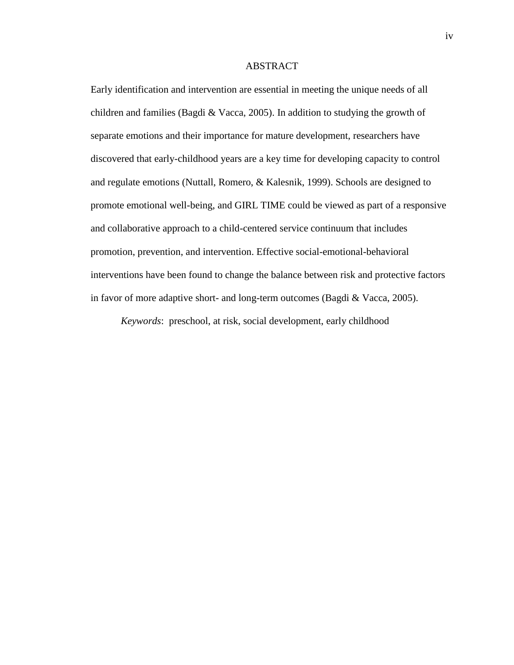#### ABSTRACT

Early identification and intervention are essential in meeting the unique needs of all children and families (Bagdi & Vacca, 2005). In addition to studying the growth of separate emotions and their importance for mature development, researchers have discovered that early-childhood years are a key time for developing capacity to control and regulate emotions (Nuttall, Romero, & Kalesnik, 1999). Schools are designed to promote emotional well-being, and GIRL TIME could be viewed as part of a responsive and collaborative approach to a child-centered service continuum that includes promotion, prevention, and intervention. Effective social-emotional-behavioral interventions have been found to change the balance between risk and protective factors in favor of more adaptive short- and long-term outcomes (Bagdi & Vacca, 2005).

*Keywords*: preschool, at risk, social development, early childhood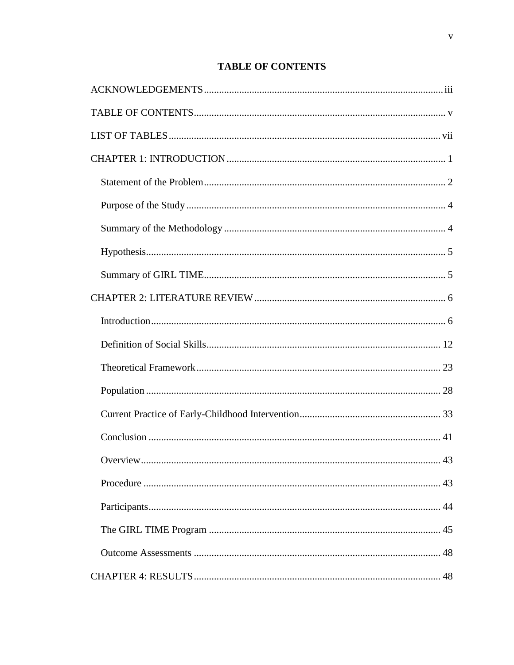## **TABLE OF CONTENTS**

<span id="page-5-0"></span>

| 43 |
|----|
|    |
|    |
|    |
|    |
|    |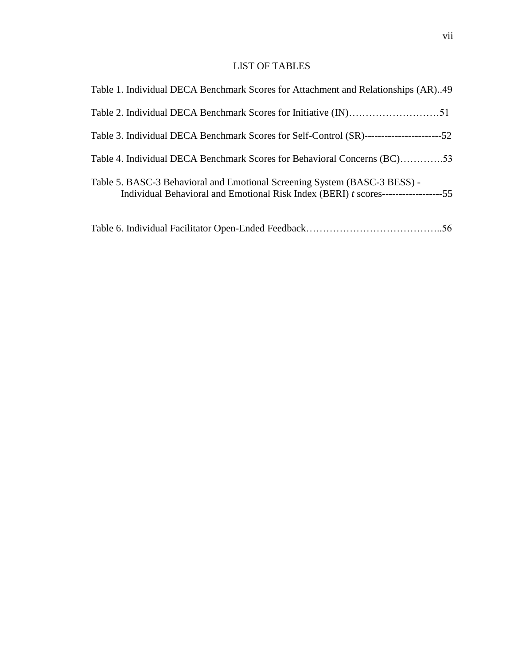### LIST OF TABLES

<span id="page-7-0"></span>

| Table 1. Individual DECA Benchmark Scores for Attachment and Relationships (AR)49                                                                               |  |
|-----------------------------------------------------------------------------------------------------------------------------------------------------------------|--|
|                                                                                                                                                                 |  |
|                                                                                                                                                                 |  |
| Table 4. Individual DECA Benchmark Scores for Behavioral Concerns (BC)53                                                                                        |  |
| Table 5. BASC-3 Behavioral and Emotional Screening System (BASC-3 BESS) -<br>Individual Behavioral and Emotional Risk Index (BERI) t scores------------------55 |  |
|                                                                                                                                                                 |  |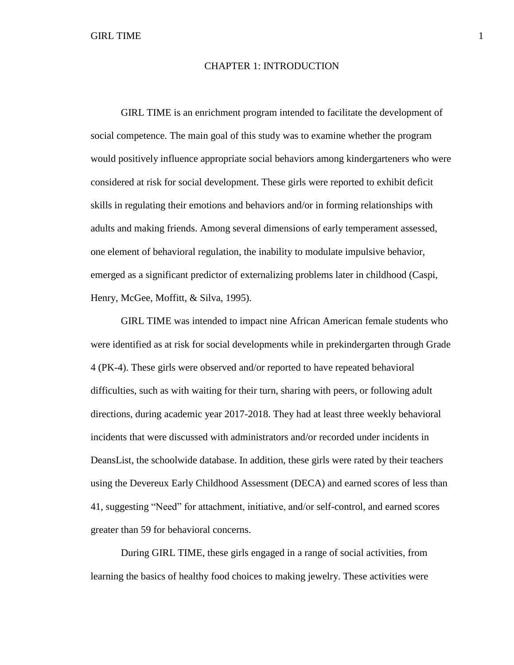#### CHAPTER 1: INTRODUCTION

<span id="page-8-0"></span>GIRL TIME is an enrichment program intended to facilitate the development of social competence. The main goal of this study was to examine whether the program would positively influence appropriate social behaviors among kindergarteners who were considered at risk for social development. These girls were reported to exhibit deficit skills in regulating their emotions and behaviors and/or in forming relationships with adults and making friends. Among several dimensions of early temperament assessed, one element of behavioral regulation, the inability to modulate impulsive behavior, emerged as a significant predictor of externalizing problems later in childhood (Caspi, Henry, McGee, Moffitt, & Silva, 1995).

GIRL TIME was intended to impact nine African American female students who were identified as at risk for social developments while in prekindergarten through Grade 4 (PK-4). These girls were observed and/or reported to have repeated behavioral difficulties, such as with waiting for their turn, sharing with peers, or following adult directions, during academic year 2017-2018. They had at least three weekly behavioral incidents that were discussed with administrators and/or recorded under incidents in DeansList, the schoolwide database. In addition, these girls were rated by their teachers using the Devereux Early Childhood Assessment (DECA) and earned scores of less than 41, suggesting "Need" for attachment, initiative, and/or self-control, and earned scores greater than 59 for behavioral concerns.

During GIRL TIME, these girls engaged in a range of social activities, from learning the basics of healthy food choices to making jewelry. These activities were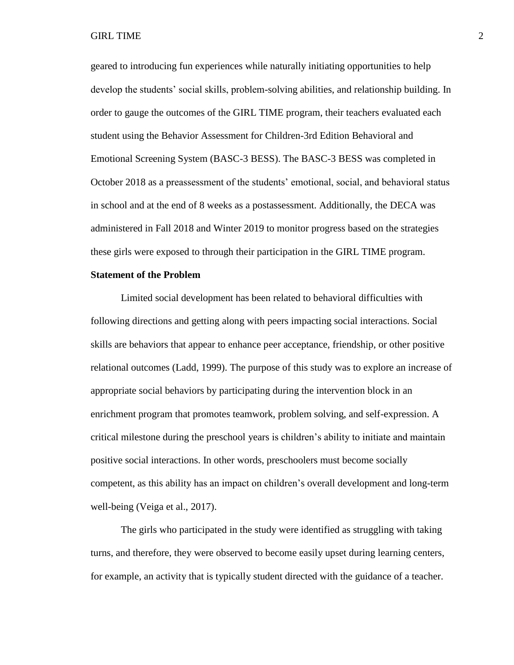geared to introducing fun experiences while naturally initiating opportunities to help develop the students' social skills, problem-solving abilities, and relationship building. In order to gauge the outcomes of the GIRL TIME program, their teachers evaluated each student using the Behavior Assessment for Children-3rd Edition Behavioral and Emotional Screening System (BASC-3 BESS). The BASC-3 BESS was completed in October 2018 as a preassessment of the students' emotional, social, and behavioral status in school and at the end of 8 weeks as a postassessment. Additionally, the DECA was administered in Fall 2018 and Winter 2019 to monitor progress based on the strategies these girls were exposed to through their participation in the GIRL TIME program.

#### <span id="page-9-0"></span>**Statement of the Problem**

Limited social development has been related to behavioral difficulties with following directions and getting along with peers impacting social interactions. Social skills are behaviors that appear to enhance peer acceptance, friendship, or other positive relational outcomes (Ladd, 1999). The purpose of this study was to explore an increase of appropriate social behaviors by participating during the intervention block in an enrichment program that promotes teamwork, problem solving, and self-expression. A critical milestone during the preschool years is children's ability to initiate and maintain positive social interactions. In other words, preschoolers must become socially competent, as this ability has an impact on children's overall development and long-term well-being (Veiga et al., 2017).

The girls who participated in the study were identified as struggling with taking turns, and therefore, they were observed to become easily upset during learning centers, for example, an activity that is typically student directed with the guidance of a teacher.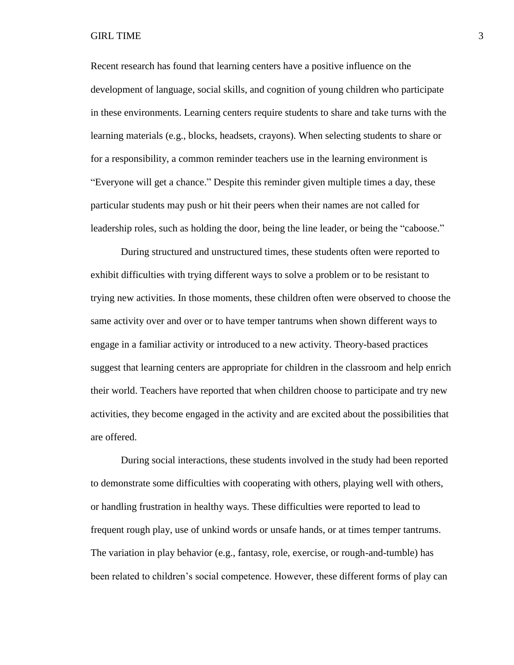Recent research has found that learning centers have a positive influence on the development of language, social skills, and cognition of young children who participate in these environments. Learning centers require students to share and take turns with the learning materials (e.g., blocks, headsets, crayons). When selecting students to share or for a responsibility, a common reminder teachers use in the learning environment is "Everyone will get a chance." Despite this reminder given multiple times a day, these particular students may push or hit their peers when their names are not called for leadership roles, such as holding the door, being the line leader, or being the "caboose."

During structured and unstructured times, these students often were reported to exhibit difficulties with trying different ways to solve a problem or to be resistant to trying new activities. In those moments, these children often were observed to choose the same activity over and over or to have temper tantrums when shown different ways to engage in a familiar activity or introduced to a new activity. Theory-based practices suggest that learning centers are appropriate for children in the classroom and help enrich their world. Teachers have reported that when children choose to participate and try new activities, they become engaged in the activity and are excited about the possibilities that are offered.

During social interactions, these students involved in the study had been reported to demonstrate some difficulties with cooperating with others, playing well with others, or handling frustration in healthy ways. These difficulties were reported to lead to frequent rough play, use of unkind words or unsafe hands, or at times temper tantrums. The variation in play behavior (e.g., fantasy, role, exercise, or rough-and-tumble) has been related to children's social competence. However, these different forms of play can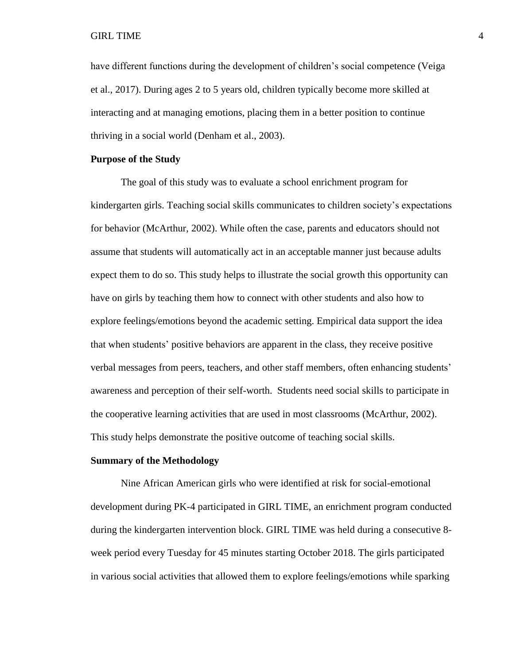have different functions during the development of children's social competence (Veiga et al., 2017). During ages 2 to 5 years old, children typically become more skilled at interacting and at managing emotions, placing them in a better position to continue thriving in a social world (Denham et al., 2003).

#### <span id="page-11-0"></span>**Purpose of the Study**

The goal of this study was to evaluate a school enrichment program for kindergarten girls. Teaching social skills communicates to children society's expectations for behavior (McArthur, 2002). While often the case, parents and educators should not assume that students will automatically act in an acceptable manner just because adults expect them to do so. This study helps to illustrate the social growth this opportunity can have on girls by teaching them how to connect with other students and also how to explore feelings/emotions beyond the academic setting. Empirical data support the idea that when students' positive behaviors are apparent in the class, they receive positive verbal messages from peers, teachers, and other staff members, often enhancing students' awareness and perception of their self-worth. Students need social skills to participate in the cooperative learning activities that are used in most classrooms (McArthur, 2002). This study helps demonstrate the positive outcome of teaching social skills.

#### <span id="page-11-1"></span>**Summary of the Methodology**

Nine African American girls who were identified at risk for social-emotional development during PK-4 participated in GIRL TIME, an enrichment program conducted during the kindergarten intervention block. GIRL TIME was held during a consecutive 8 week period every Tuesday for 45 minutes starting October 2018. The girls participated in various social activities that allowed them to explore feelings/emotions while sparking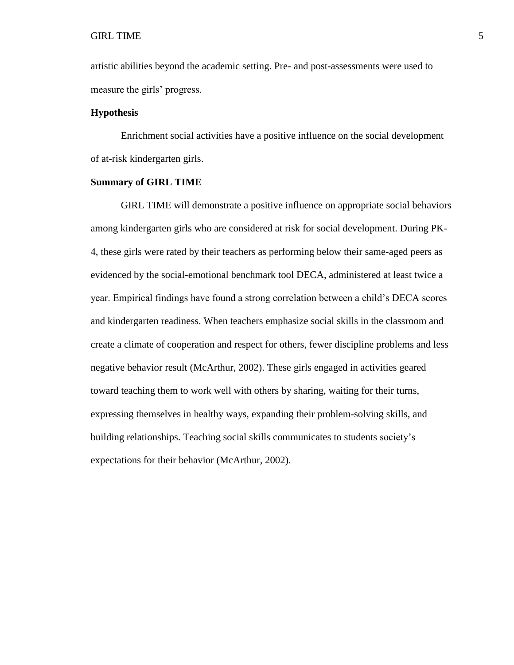artistic abilities beyond the academic setting. Pre- and post-assessments were used to measure the girls' progress.

#### <span id="page-12-0"></span>**Hypothesis**

Enrichment social activities have a positive influence on the social development of at-risk kindergarten girls.

#### <span id="page-12-1"></span>**Summary of GIRL TIME**

GIRL TIME will demonstrate a positive influence on appropriate social behaviors among kindergarten girls who are considered at risk for social development. During PK-4, these girls were rated by their teachers as performing below their same-aged peers as evidenced by the social-emotional benchmark tool DECA, administered at least twice a year. Empirical findings have found a strong correlation between a child's DECA scores and kindergarten readiness. When teachers emphasize social skills in the classroom and create a climate of cooperation and respect for others, fewer discipline problems and less negative behavior result (McArthur, 2002). These girls engaged in activities geared toward teaching them to work well with others by sharing, waiting for their turns, expressing themselves in healthy ways, expanding their problem-solving skills, and building relationships. Teaching social skills communicates to students society's expectations for their behavior (McArthur, 2002).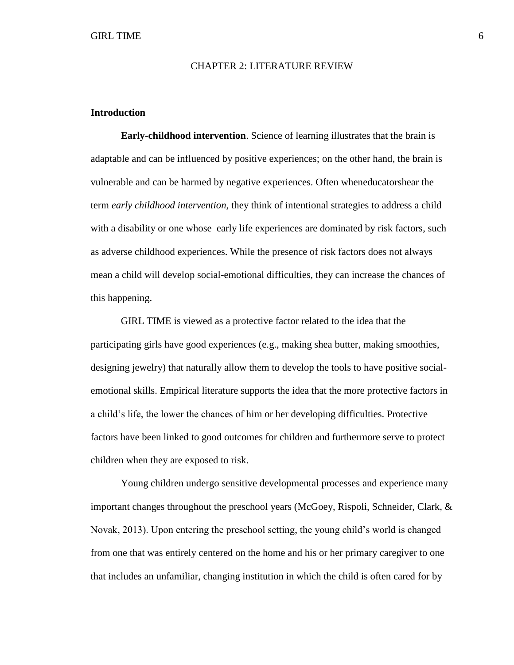#### CHAPTER 2: LITERATURE REVIEW

#### <span id="page-13-1"></span><span id="page-13-0"></span>**Introduction**

**Early-childhood intervention**. Science of learning illustrates that the brain is adaptable and can be influenced by positive experiences; on the other hand, the brain is vulnerable and can be harmed by negative experiences. Often wheneducatorshear the term *early childhood intervention,* they think of intentional strategies to address a child with a disability or one whose early life experiences are dominated by risk factors, such as adverse childhood experiences. While the presence of risk factors does not always mean a child will develop social-emotional difficulties, they can increase the chances of this happening.

GIRL TIME is viewed as a protective factor related to the idea that the participating girls have good experiences (e.g., making shea butter, making smoothies, designing jewelry) that naturally allow them to develop the tools to have positive socialemotional skills. Empirical literature supports the idea that the more protective factors in a child's life, the lower the chances of him or her developing difficulties. Protective factors have been linked to good outcomes for children and furthermore serve to protect children when they are exposed to risk.

Young children undergo sensitive developmental processes and experience many important changes throughout the preschool years (McGoey, Rispoli, Schneider, Clark, & Novak, 2013). Upon entering the preschool setting, the young child's world is changed from one that was entirely centered on the home and his or her primary caregiver to one that includes an unfamiliar, changing institution in which the child is often cared for by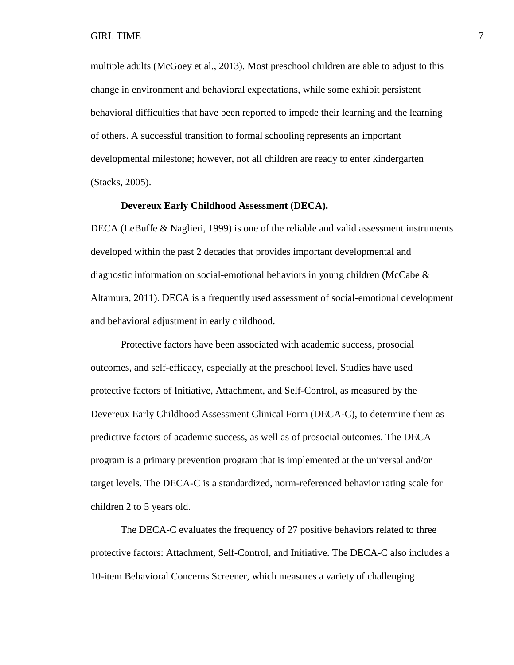#### GIRL TIME  $\qquad \qquad \qquad$  7

multiple adults (McGoey et al., 2013). Most preschool children are able to adjust to this change in environment and behavioral expectations, while some exhibit persistent behavioral difficulties that have been reported to impede their learning and the learning of others. A successful transition to formal schooling represents an important developmental milestone; however, not all children are ready to enter kindergarten (Stacks, 2005).

#### **Devereux Early Childhood Assessment (DECA).**

DECA (LeBuffe & Naglieri, 1999) is one of the reliable and valid assessment instruments developed within the past 2 decades that provides important developmental and diagnostic information on social-emotional behaviors in young children (McCabe  $\&$ Altamura, 2011). DECA is a frequently used assessment of social-emotional development and behavioral adjustment in early childhood.

Protective factors have been associated with academic success, prosocial outcomes, and self-efficacy, especially at the preschool level. Studies have used protective factors of Initiative, Attachment, and Self-Control, as measured by the Devereux Early Childhood Assessment Clinical Form (DECA-C), to determine them as predictive factors of academic success, as well as of prosocial outcomes. The DECA program is a primary prevention program that is implemented at the universal and/or target levels. The DECA-C is a standardized, norm-referenced behavior rating scale for children 2 to 5 years old.

The DECA-C evaluates the frequency of 27 positive behaviors related to three protective factors: Attachment, Self-Control, and Initiative. The DECA-C also includes a 10-item Behavioral Concerns Screener, which measures a variety of challenging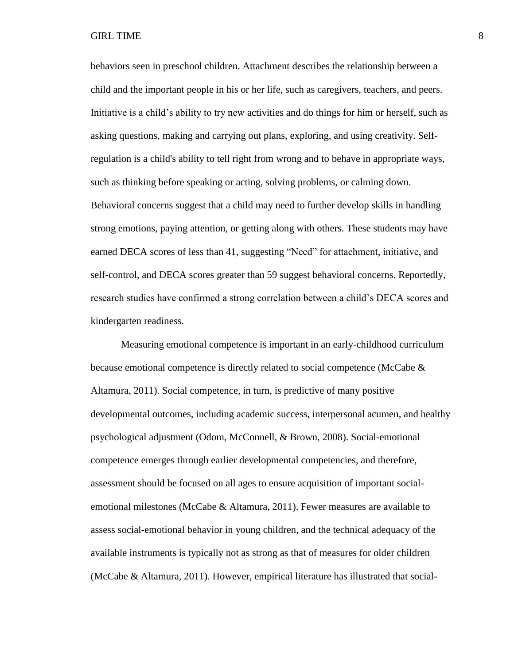behaviors seen in preschool children. Attachment describes the relationship between a child and the important people in his or her life, such as caregivers, teachers, and peers. Initiative is a child's ability to try new activities and do things for him or herself, such as asking questions, making and carrying out plans, exploring, and using creativity. Selfregulation is a child's ability to tell right from wrong and to behave in appropriate ways, such as thinking before speaking or acting, solving problems, or calming down. Behavioral concerns suggest that a child may need to further develop skills in handling strong emotions, paying attention, or getting along with others. These students may have earned DECA scores of less than 41, suggesting "Need" for attachment, initiative, and self-control, and DECA scores greater than 59 suggest behavioral concerns. Reportedly, research studies have confirmed a strong correlation between a child's DECA scores and kindergarten readiness.

Measuring emotional competence is important in an early-childhood curriculum because emotional competence is directly related to social competence (McCabe & Altamura, 2011). Social competence, in turn, is predictive of many positive developmental outcomes, including academic success, interpersonal acumen, and healthy psychological adjustment (Odom, McConnell, & Brown, 2008). Social-emotional competence emerges through earlier developmental competencies, and therefore, assessment should be focused on all ages to ensure acquisition of important socialemotional milestones (McCabe & Altamura, 2011). Fewer measures are available to assess social-emotional behavior in young children, and the technical adequacy of the available instruments is typically not as strong as that of measures for older children (McCabe & Altamura, 2011). However, empirical literature has illustrated that social-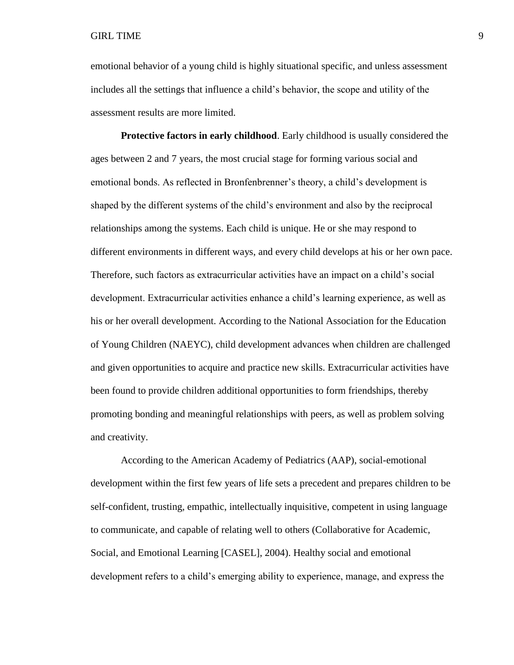emotional behavior of a young child is highly situational specific, and unless assessment includes all the settings that influence a child's behavior, the scope and utility of the assessment results are more limited.

**Protective factors in early childhood**. Early childhood is usually considered the ages between 2 and 7 years, the most crucial stage for forming various social and emotional bonds. As reflected in Bronfenbrenner's theory, a child's development is shaped by the different systems of the child's environment and also by the reciprocal relationships among the systems. Each child is unique. He or she may respond to different environments in different ways, and every child develops at his or her own pace. Therefore, such factors as extracurricular activities have an impact on a child's social development. Extracurricular activities enhance a child's learning experience, as well as his or her overall development. According to the National Association for the Education of Young Children (NAEYC), child development advances when children are challenged and given opportunities to acquire and practice new skills. Extracurricular activities have been found to provide children additional opportunities to form friendships, thereby promoting bonding and meaningful relationships with peers, as well as problem solving and creativity.

According to the American Academy of Pediatrics (AAP), social-emotional development within the first few years of life sets a precedent and prepares children to be self-confident, trusting, empathic, intellectually inquisitive, competent in using language to communicate, and capable of relating well to others (Collaborative for Academic, Social, and Emotional Learning [CASEL], 2004). Healthy social and emotional development refers to a child's emerging ability to experience, manage, and express the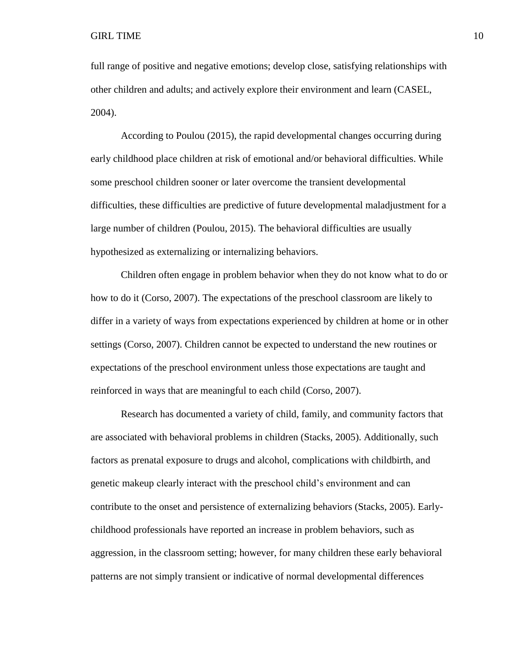full range of positive and negative emotions; develop close, satisfying relationships with other children and adults; and actively explore their environment and learn (CASEL, 2004).

According to Poulou (2015), the rapid developmental changes occurring during early childhood place children at risk of emotional and/or behavioral difficulties. While some preschool children sooner or later overcome the transient developmental difficulties, these difficulties are predictive of future developmental maladjustment for a large number of children (Poulou, 2015). The behavioral difficulties are usually hypothesized as externalizing or internalizing behaviors.

Children often engage in problem behavior when they do not know what to do or how to do it (Corso, 2007). The expectations of the preschool classroom are likely to differ in a variety of ways from expectations experienced by children at home or in other settings (Corso, 2007). Children cannot be expected to understand the new routines or expectations of the preschool environment unless those expectations are taught and reinforced in ways that are meaningful to each child (Corso, 2007).

Research has documented a variety of child, family, and community factors that are associated with behavioral problems in children (Stacks, 2005). Additionally, such factors as prenatal exposure to drugs and alcohol, complications with childbirth, and genetic makeup clearly interact with the preschool child's environment and can contribute to the onset and persistence of externalizing behaviors (Stacks, 2005). Earlychildhood professionals have reported an increase in problem behaviors, such as aggression, in the classroom setting; however, for many children these early behavioral patterns are not simply transient or indicative of normal developmental differences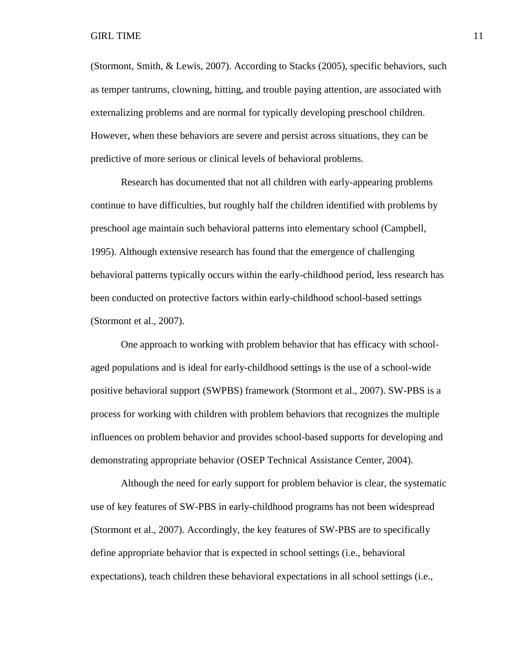(Stormont, Smith, & Lewis, 2007). According to Stacks (2005), specific behaviors, such as temper tantrums, clowning, hitting, and trouble paying attention, are associated with externalizing problems and are normal for typically developing preschool children. However, when these behaviors are severe and persist across situations, they can be predictive of more serious or clinical levels of behavioral problems.

Research has documented that not all children with early-appearing problems continue to have difficulties, but roughly half the children identified with problems by preschool age maintain such behavioral patterns into elementary school (Campbell, 1995). Although extensive research has found that the emergence of challenging behavioral patterns typically occurs within the early-childhood period, less research has been conducted on protective factors within early-childhood school-based settings (Stormont et al., 2007).

One approach to working with problem behavior that has efficacy with schoolaged populations and is ideal for early-childhood settings is the use of a school-wide positive behavioral support (SWPBS) framework (Stormont et al., 2007). SW-PBS is a process for working with children with problem behaviors that recognizes the multiple influences on problem behavior and provides school-based supports for developing and demonstrating appropriate behavior (OSEP Technical Assistance Center, 2004).

Although the need for early support for problem behavior is clear, the systematic use of key features of SW-PBS in early-childhood programs has not been widespread (Stormont et al., 2007). Accordingly, the key features of SW-PBS are to specifically define appropriate behavior that is expected in school settings (i.e., behavioral expectations), teach children these behavioral expectations in all school settings (i.e.,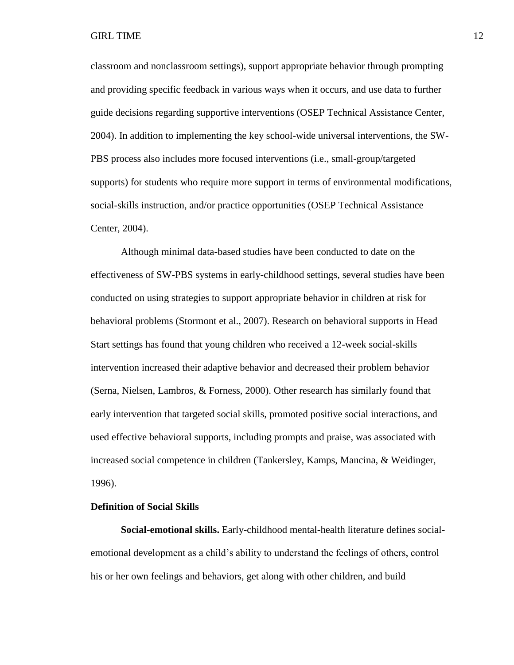classroom and nonclassroom settings), support appropriate behavior through prompting and providing specific feedback in various ways when it occurs, and use data to further guide decisions regarding supportive interventions (OSEP Technical Assistance Center, 2004). In addition to implementing the key school-wide universal interventions, the SW-PBS process also includes more focused interventions (i.e., small-group/targeted supports) for students who require more support in terms of environmental modifications, social-skills instruction, and/or practice opportunities (OSEP Technical Assistance Center, 2004).

Although minimal data-based studies have been conducted to date on the effectiveness of SW-PBS systems in early-childhood settings, several studies have been conducted on using strategies to support appropriate behavior in children at risk for behavioral problems (Stormont et al., 2007). Research on behavioral supports in Head Start settings has found that young children who received a 12-week social-skills intervention increased their adaptive behavior and decreased their problem behavior (Serna, Nielsen, Lambros, & Forness, 2000). Other research has similarly found that early intervention that targeted social skills, promoted positive social interactions, and used effective behavioral supports, including prompts and praise, was associated with increased social competence in children (Tankersley, Kamps, Mancina, & Weidinger, 1996).

#### <span id="page-19-0"></span>**Definition of Social Skills**

**Social-emotional skills.** Early-childhood mental-health literature defines socialemotional development as a child's ability to understand the feelings of others, control his or her own feelings and behaviors, get along with other children, and build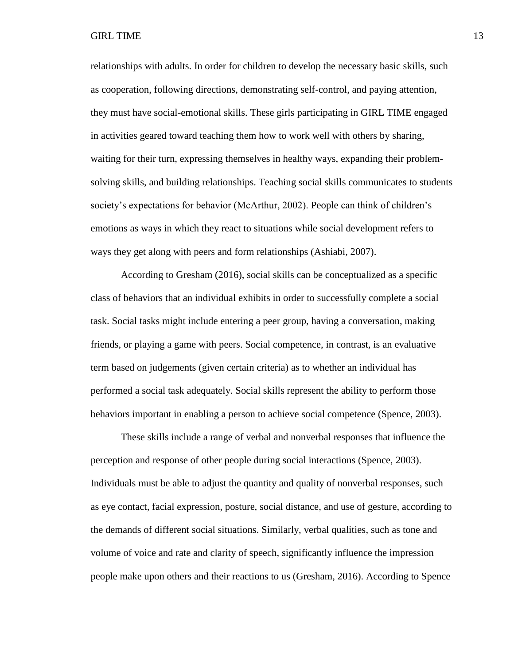relationships with adults. In order for children to develop the necessary basic skills, such as cooperation, following directions, demonstrating self-control, and paying attention, they must have social-emotional skills. These girls participating in GIRL TIME engaged in activities geared toward teaching them how to work well with others by sharing, waiting for their turn, expressing themselves in healthy ways, expanding their problemsolving skills, and building relationships. Teaching social skills communicates to students society's expectations for behavior (McArthur, 2002). People can think of children's emotions as ways in which they react to situations while social development refers to ways they get along with peers and form relationships (Ashiabi, 2007).

According to Gresham (2016), social skills can be conceptualized as a specific class of behaviors that an individual exhibits in order to successfully complete a social task. Social tasks might include entering a peer group, having a conversation, making friends, or playing a game with peers. Social competence, in contrast, is an evaluative term based on judgements (given certain criteria) as to whether an individual has performed a social task adequately. Social skills represent the ability to perform those behaviors important in enabling a person to achieve social competence (Spence, 2003).

These skills include a range of verbal and nonverbal responses that influence the perception and response of other people during social interactions (Spence, 2003). Individuals must be able to adjust the quantity and quality of nonverbal responses, such as eye contact, facial expression, posture, social distance, and use of gesture, according to the demands of different social situations. Similarly, verbal qualities, such as tone and volume of voice and rate and clarity of speech, significantly influence the impression people make upon others and their reactions to us (Gresham, 2016). According to Spence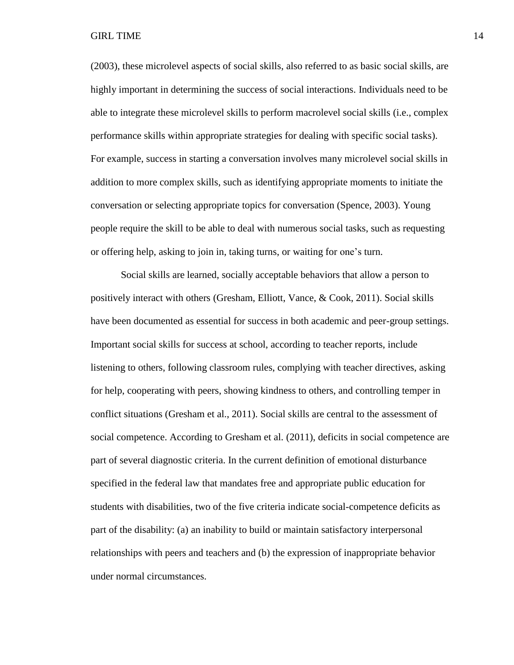(2003), these microlevel aspects of social skills, also referred to as basic social skills, are highly important in determining the success of social interactions. Individuals need to be able to integrate these microlevel skills to perform macrolevel social skills (i.e., complex performance skills within appropriate strategies for dealing with specific social tasks). For example, success in starting a conversation involves many microlevel social skills in addition to more complex skills, such as identifying appropriate moments to initiate the conversation or selecting appropriate topics for conversation (Spence, 2003). Young people require the skill to be able to deal with numerous social tasks, such as requesting or offering help, asking to join in, taking turns, or waiting for one's turn.

Social skills are learned, socially acceptable behaviors that allow a person to positively interact with others (Gresham, Elliott, Vance, & Cook, 2011). Social skills have been documented as essential for success in both academic and peer-group settings. Important social skills for success at school, according to teacher reports, include listening to others, following classroom rules, complying with teacher directives, asking for help, cooperating with peers, showing kindness to others, and controlling temper in conflict situations (Gresham et al., 2011). Social skills are central to the assessment of social competence. According to Gresham et al. (2011), deficits in social competence are part of several diagnostic criteria. In the current definition of emotional disturbance specified in the federal law that mandates free and appropriate public education for students with disabilities, two of the five criteria indicate social-competence deficits as part of the disability: (a) an inability to build or maintain satisfactory interpersonal relationships with peers and teachers and (b) the expression of inappropriate behavior under normal circumstances.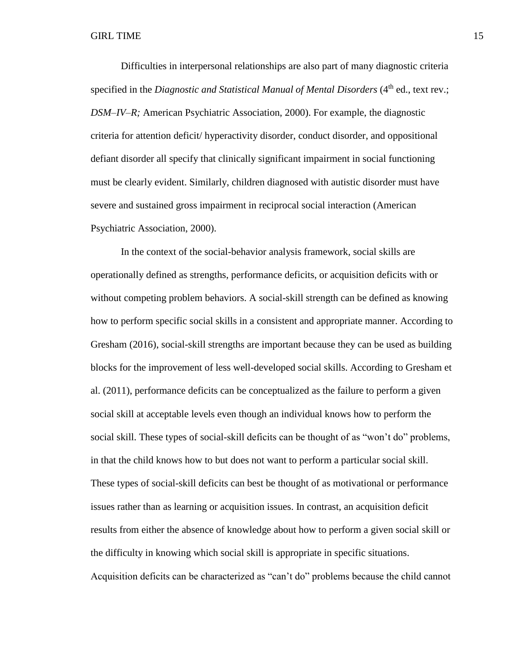Difficulties in interpersonal relationships are also part of many diagnostic criteria specified in the *Diagnostic and Statistical Manual of Mental Disorders* (4<sup>th</sup> ed., text rev.; *DSM–IV*–*R;* American Psychiatric Association, 2000). For example, the diagnostic criteria for attention deficit/ hyperactivity disorder, conduct disorder, and oppositional defiant disorder all specify that clinically significant impairment in social functioning must be clearly evident. Similarly, children diagnosed with autistic disorder must have severe and sustained gross impairment in reciprocal social interaction (American Psychiatric Association, 2000).

In the context of the social-behavior analysis framework, social skills are operationally defined as strengths, performance deficits, or acquisition deficits with or without competing problem behaviors. A social-skill strength can be defined as knowing how to perform specific social skills in a consistent and appropriate manner. According to Gresham (2016), social-skill strengths are important because they can be used as building blocks for the improvement of less well-developed social skills. According to Gresham et al. (2011), performance deficits can be conceptualized as the failure to perform a given social skill at acceptable levels even though an individual knows how to perform the social skill. These types of social-skill deficits can be thought of as "won't do" problems, in that the child knows how to but does not want to perform a particular social skill. These types of social-skill deficits can best be thought of as motivational or performance issues rather than as learning or acquisition issues. In contrast, an acquisition deficit results from either the absence of knowledge about how to perform a given social skill or the difficulty in knowing which social skill is appropriate in specific situations. Acquisition deficits can be characterized as "can't do" problems because the child cannot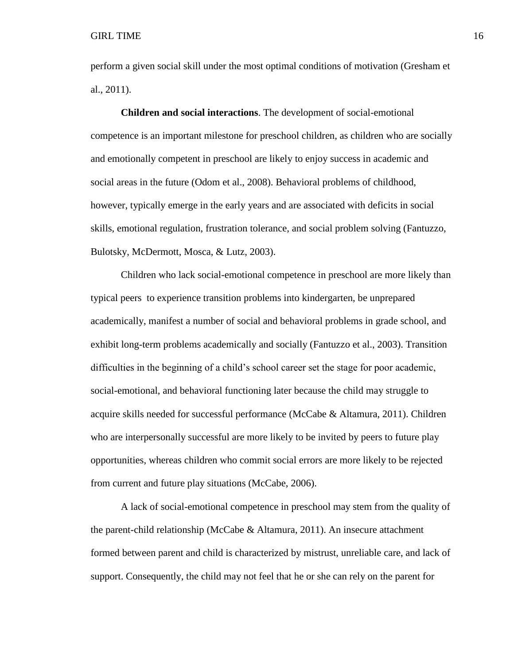perform a given social skill under the most optimal conditions of motivation (Gresham et al., 2011).

**Children and social interactions**. The development of social-emotional competence is an important milestone for preschool children, as children who are socially and emotionally competent in preschool are likely to enjoy success in academic and social areas in the future (Odom et al., 2008). Behavioral problems of childhood, however, typically emerge in the early years and are associated with deficits in social skills, emotional regulation, frustration tolerance, and social problem solving (Fantuzzo, Bulotsky, McDermott, Mosca, & Lutz, 2003).

Children who lack social-emotional competence in preschool are more likely than typical peers to experience transition problems into kindergarten, be unprepared academically, manifest a number of social and behavioral problems in grade school, and exhibit long-term problems academically and socially (Fantuzzo et al., 2003). Transition difficulties in the beginning of a child's school career set the stage for poor academic, social-emotional, and behavioral functioning later because the child may struggle to acquire skills needed for successful performance (McCabe & Altamura, 2011). Children who are interpersonally successful are more likely to be invited by peers to future play opportunities, whereas children who commit social errors are more likely to be rejected from current and future play situations (McCabe, 2006).

A lack of social-emotional competence in preschool may stem from the quality of the parent-child relationship (McCabe & Altamura, 2011). An insecure attachment formed between parent and child is characterized by mistrust, unreliable care, and lack of support. Consequently, the child may not feel that he or she can rely on the parent for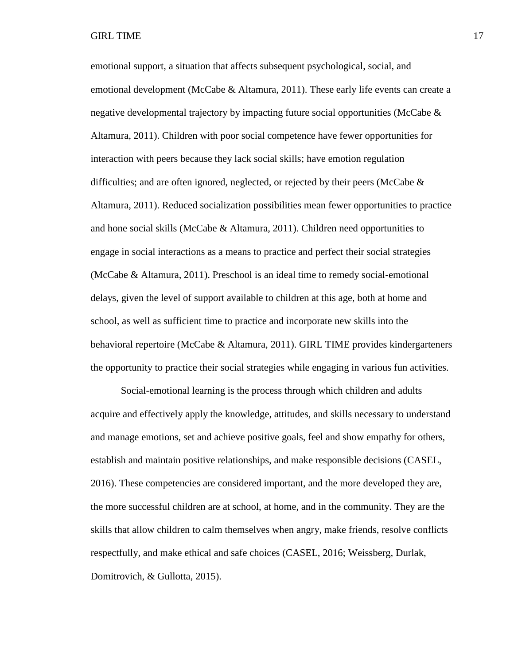emotional support, a situation that affects subsequent psychological, social, and emotional development (McCabe & Altamura, 2011). These early life events can create a negative developmental trajectory by impacting future social opportunities (McCabe & Altamura, 2011). Children with poor social competence have fewer opportunities for interaction with peers because they lack social skills; have emotion regulation difficulties; and are often ignored, neglected, or rejected by their peers (McCabe  $\&$ Altamura, 2011). Reduced socialization possibilities mean fewer opportunities to practice and hone social skills (McCabe & Altamura, 2011). Children need opportunities to engage in social interactions as a means to practice and perfect their social strategies (McCabe & Altamura, 2011). Preschool is an ideal time to remedy social-emotional delays, given the level of support available to children at this age, both at home and school, as well as sufficient time to practice and incorporate new skills into the behavioral repertoire (McCabe & Altamura, 2011). GIRL TIME provides kindergarteners the opportunity to practice their social strategies while engaging in various fun activities.

Social-emotional learning is the process through which children and adults acquire and effectively apply the knowledge, attitudes, and skills necessary to understand and manage emotions, set and achieve positive goals, feel and show empathy for others, establish and maintain positive relationships, and make responsible decisions (CASEL, 2016). These competencies are considered important, and the more developed they are, the more successful children are at school, at home, and in the community. They are the skills that allow children to calm themselves when angry, make friends, resolve conflicts respectfully, and make ethical and safe choices (CASEL, 2016; Weissberg, Durlak, Domitrovich, & Gullotta, 2015).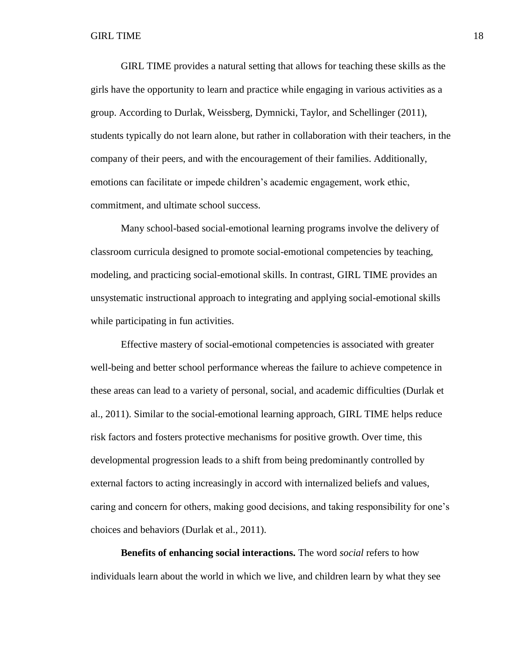GIRL TIME provides a natural setting that allows for teaching these skills as the girls have the opportunity to learn and practice while engaging in various activities as a group. According to Durlak, Weissberg, Dymnicki, Taylor, and Schellinger (2011), students typically do not learn alone, but rather in collaboration with their teachers, in the company of their peers, and with the encouragement of their families. Additionally, emotions can facilitate or impede children's academic engagement, work ethic, commitment, and ultimate school success.

Many school-based social-emotional learning programs involve the delivery of classroom curricula designed to promote social-emotional competencies by teaching, modeling, and practicing social-emotional skills. In contrast, GIRL TIME provides an unsystematic instructional approach to integrating and applying social-emotional skills while participating in fun activities.

Effective mastery of social-emotional competencies is associated with greater well-being and better school performance whereas the failure to achieve competence in these areas can lead to a variety of personal, social, and academic difficulties (Durlak et al., 2011). Similar to the social-emotional learning approach, GIRL TIME helps reduce risk factors and fosters protective mechanisms for positive growth. Over time, this developmental progression leads to a shift from being predominantly controlled by external factors to acting increasingly in accord with internalized beliefs and values, caring and concern for others, making good decisions, and taking responsibility for one's choices and behaviors (Durlak et al., 2011).

**Benefits of enhancing social interactions.** The word *social* refers to how individuals learn about the world in which we live, and children learn by what they see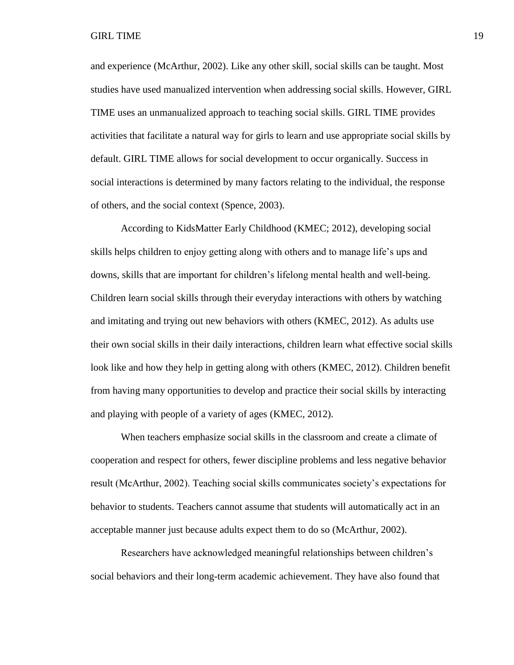and experience (McArthur, 2002). Like any other skill, social skills can be taught. Most studies have used manualized intervention when addressing social skills. However, GIRL TIME uses an unmanualized approach to teaching social skills. GIRL TIME provides activities that facilitate a natural way for girls to learn and use appropriate social skills by default. GIRL TIME allows for social development to occur organically. Success in social interactions is determined by many factors relating to the individual, the response of others, and the social context (Spence, 2003).

According to KidsMatter Early Childhood (KMEC; 2012), developing social skills helps children to enjoy getting along with others and to manage life's ups and downs, skills that are important for children's lifelong mental health and well-being. Children learn social skills through their everyday interactions with others by watching and imitating and trying out new behaviors with others (KMEC, 2012). As adults use their own social skills in their daily interactions, children learn what effective social skills look like and how they help in getting along with others (KMEC, 2012). Children benefit from having many opportunities to develop and practice their social skills by interacting and playing with people of a variety of ages (KMEC, 2012).

When teachers emphasize social skills in the classroom and create a climate of cooperation and respect for others, fewer discipline problems and less negative behavior result (McArthur, 2002). Teaching social skills communicates society's expectations for behavior to students. Teachers cannot assume that students will automatically act in an acceptable manner just because adults expect them to do so (McArthur, 2002).

Researchers have acknowledged meaningful relationships between children's social behaviors and their long-term academic achievement. They have also found that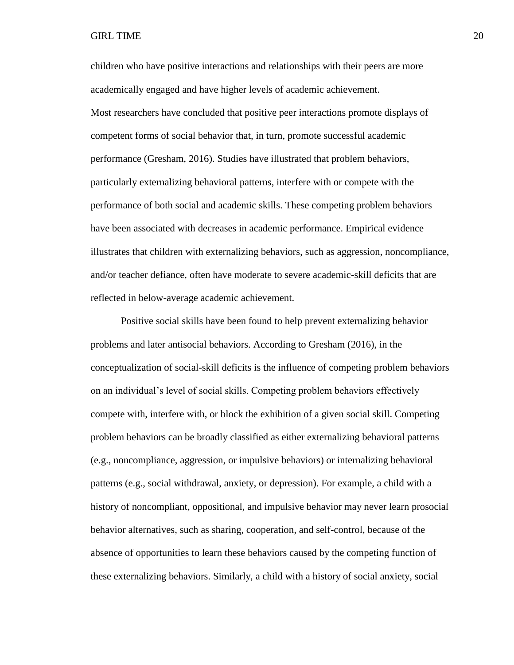children who have positive interactions and relationships with their peers are more academically engaged and have higher levels of academic achievement. Most researchers have concluded that positive peer interactions promote displays of competent forms of social behavior that, in turn, promote successful academic performance (Gresham, 2016). Studies have illustrated that problem behaviors, particularly externalizing behavioral patterns, interfere with or compete with the performance of both social and academic skills. These competing problem behaviors have been associated with decreases in academic performance. Empirical evidence illustrates that children with externalizing behaviors, such as aggression, noncompliance, and/or teacher defiance, often have moderate to severe academic-skill deficits that are reflected in below-average academic achievement.

Positive social skills have been found to help prevent externalizing behavior problems and later antisocial behaviors. According to Gresham (2016), in the conceptualization of social-skill deficits is the influence of competing problem behaviors on an individual's level of social skills. Competing problem behaviors effectively compete with, interfere with, or block the exhibition of a given social skill. Competing problem behaviors can be broadly classified as either externalizing behavioral patterns (e.g., noncompliance, aggression, or impulsive behaviors) or internalizing behavioral patterns (e.g., social withdrawal, anxiety, or depression). For example, a child with a history of noncompliant, oppositional, and impulsive behavior may never learn prosocial behavior alternatives, such as sharing, cooperation, and self-control, because of the absence of opportunities to learn these behaviors caused by the competing function of these externalizing behaviors. Similarly, a child with a history of social anxiety, social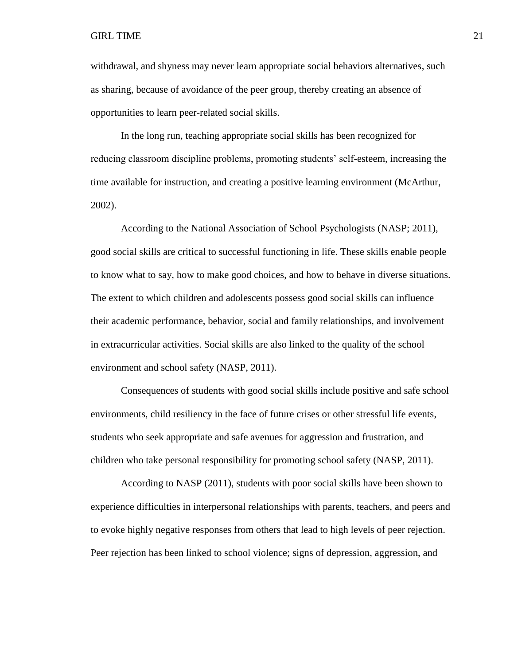withdrawal, and shyness may never learn appropriate social behaviors alternatives, such as sharing, because of avoidance of the peer group, thereby creating an absence of opportunities to learn peer-related social skills.

In the long run, teaching appropriate social skills has been recognized for reducing classroom discipline problems, promoting students' self-esteem, increasing the time available for instruction, and creating a positive learning environment (McArthur, 2002).

According to the National Association of School Psychologists (NASP; 2011), good social skills are critical to successful functioning in life. These skills enable people to know what to say, how to make good choices, and how to behave in diverse situations. The extent to which children and adolescents possess good social skills can influence their academic performance, behavior, social and family relationships, and involvement in extracurricular activities. Social skills are also linked to the quality of the school environment and school safety (NASP, 2011).

Consequences of students with good social skills include positive and safe school environments, child resiliency in the face of future crises or other stressful life events, students who seek appropriate and safe avenues for aggression and frustration, and children who take personal responsibility for promoting school safety (NASP, 2011).

According to NASP (2011), students with poor social skills have been shown to experience difficulties in interpersonal relationships with parents, teachers, and peers and to evoke highly negative responses from others that lead to high levels of peer rejection. Peer rejection has been linked to school violence; signs of depression, aggression, and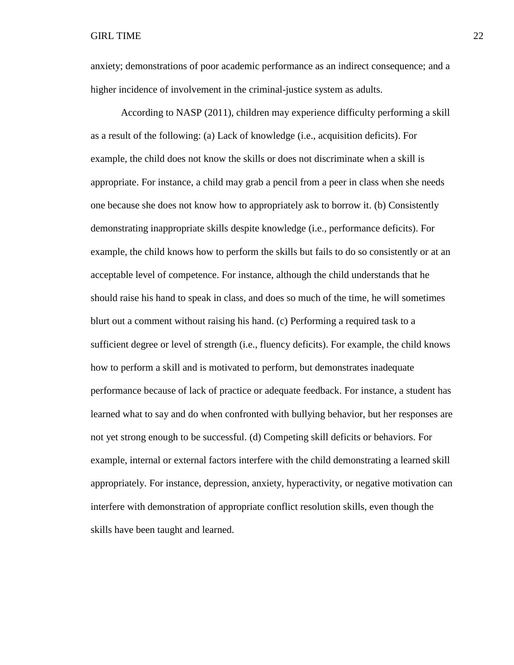anxiety; demonstrations of poor academic performance as an indirect consequence; and a higher incidence of involvement in the criminal-justice system as adults.

According to NASP (2011), children may experience difficulty performing a skill as a result of the following: (a) Lack of knowledge (i.e., acquisition deficits). For example, the child does not know the skills or does not discriminate when a skill is appropriate. For instance, a child may grab a pencil from a peer in class when she needs one because she does not know how to appropriately ask to borrow it. (b) Consistently demonstrating inappropriate skills despite knowledge (i.e., performance deficits). For example, the child knows how to perform the skills but fails to do so consistently or at an acceptable level of competence. For instance, although the child understands that he should raise his hand to speak in class, and does so much of the time, he will sometimes blurt out a comment without raising his hand. (c) Performing a required task to a sufficient degree or level of strength (i.e., fluency deficits). For example, the child knows how to perform a skill and is motivated to perform, but demonstrates inadequate performance because of lack of practice or adequate feedback. For instance, a student has learned what to say and do when confronted with bullying behavior, but her responses are not yet strong enough to be successful. (d) Competing skill deficits or behaviors. For example, internal or external factors interfere with the child demonstrating a learned skill appropriately. For instance, depression, anxiety, hyperactivity, or negative motivation can interfere with demonstration of appropriate conflict resolution skills, even though the skills have been taught and learned.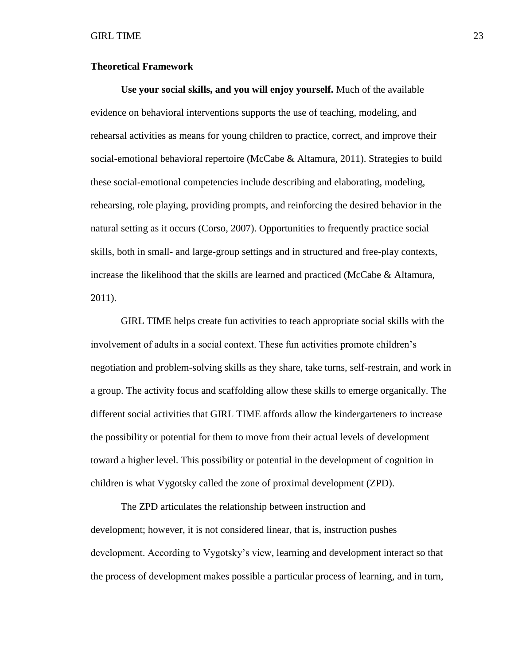#### <span id="page-30-0"></span>**Theoretical Framework**

**Use your social skills, and you will enjoy yourself.** Much of the available evidence on behavioral interventions supports the use of teaching, modeling, and rehearsal activities as means for young children to practice, correct, and improve their social-emotional behavioral repertoire (McCabe & Altamura, 2011). Strategies to build these social-emotional competencies include describing and elaborating, modeling, rehearsing, role playing, providing prompts, and reinforcing the desired behavior in the natural setting as it occurs (Corso, 2007). Opportunities to frequently practice social skills, both in small- and large-group settings and in structured and free-play contexts, increase the likelihood that the skills are learned and practiced (McCabe & Altamura, 2011).

GIRL TIME helps create fun activities to teach appropriate social skills with the involvement of adults in a social context. These fun activities promote children's negotiation and problem-solving skills as they share, take turns, self-restrain, and work in a group. The activity focus and scaffolding allow these skills to emerge organically. The different social activities that GIRL TIME affords allow the kindergarteners to increase the possibility or potential for them to move from their actual levels of development toward a higher level. This possibility or potential in the development of cognition in children is what Vygotsky called the zone of proximal development (ZPD).

The ZPD articulates the relationship between instruction and development; however, it is not considered linear, that is, instruction pushes development. According to Vygotsky's view, learning and development interact so that the process of development makes possible a particular process of learning, and in turn,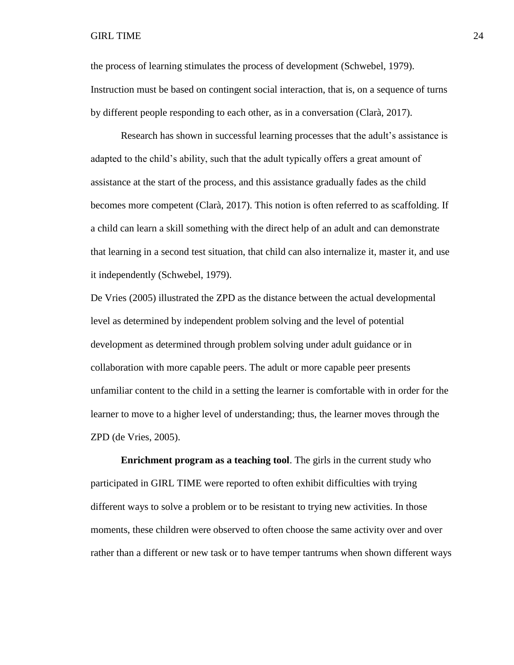the process of learning stimulates the process of development (Schwebel, 1979). Instruction must be based on contingent social interaction, that is, on a sequence of turns by different people responding to each other, as in a conversation (Clarà, 2017).

Research has shown in successful learning processes that the adult's assistance is adapted to the child's ability, such that the adult typically offers a great amount of assistance at the start of the process, and this assistance gradually fades as the child becomes more competent (Clarà, 2017). This notion is often referred to as scaffolding. If a child can learn a skill something with the direct help of an adult and can demonstrate that learning in a second test situation, that child can also internalize it, master it, and use it independently (Schwebel, 1979).

De Vries (2005) illustrated the ZPD as the distance between the actual developmental level as determined by independent problem solving and the level of potential development as determined through problem solving under adult guidance or in collaboration with more capable peers. The adult or more capable peer presents unfamiliar content to the child in a setting the learner is comfortable with in order for the learner to move to a higher level of understanding; thus, the learner moves through the ZPD (de Vries, 2005).

**Enrichment program as a teaching tool**. The girls in the current study who participated in GIRL TIME were reported to often exhibit difficulties with trying different ways to solve a problem or to be resistant to trying new activities. In those moments, these children were observed to often choose the same activity over and over rather than a different or new task or to have temper tantrums when shown different ways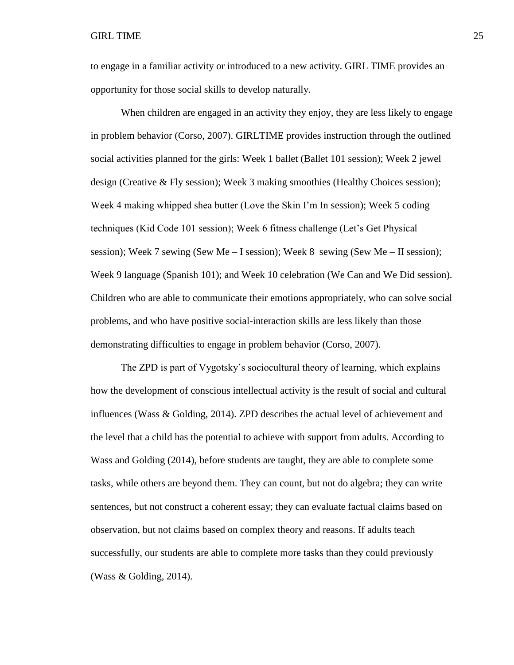to engage in a familiar activity or introduced to a new activity. GIRL TIME provides an opportunity for those social skills to develop naturally.

When children are engaged in an activity they enjoy, they are less likely to engage in problem behavior (Corso, 2007). GIRLTIME provides instruction through the outlined social activities planned for the girls: Week 1 ballet (Ballet 101 session); Week 2 jewel design (Creative & Fly session); Week 3 making smoothies (Healthy Choices session); Week 4 making whipped shea butter (Love the Skin I'm In session); Week 5 coding techniques (Kid Code 101 session); Week 6 fitness challenge (Let's Get Physical session); Week 7 sewing (Sew Me – I session); Week 8 sewing (Sew Me – II session); Week 9 language (Spanish 101); and Week 10 celebration (We Can and We Did session). Children who are able to communicate their emotions appropriately, who can solve social problems, and who have positive social-interaction skills are less likely than those demonstrating difficulties to engage in problem behavior (Corso, 2007).

The ZPD is part of Vygotsky's sociocultural theory of learning, which explains how the development of conscious intellectual activity is the result of social and cultural influences (Wass & Golding, 2014). ZPD describes the actual level of achievement and the level that a child has the potential to achieve with support from adults. According to Wass and Golding (2014), before students are taught, they are able to complete some tasks, while others are beyond them. They can count, but not do algebra; they can write sentences, but not construct a coherent essay; they can evaluate factual claims based on observation, but not claims based on complex theory and reasons. If adults teach successfully, our students are able to complete more tasks than they could previously (Wass & Golding, 2014).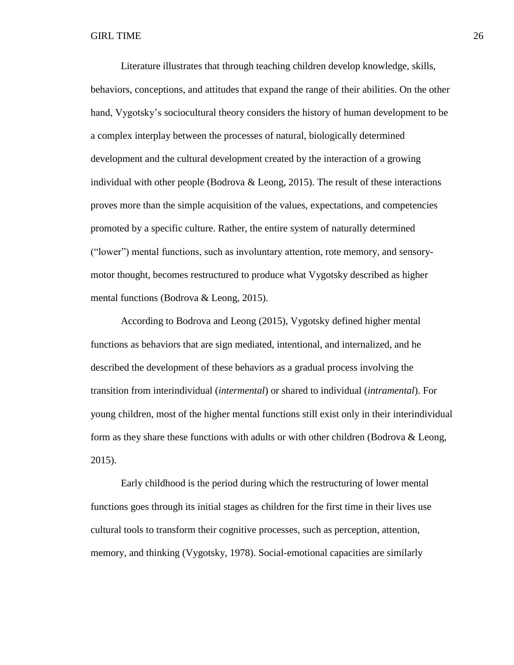Literature illustrates that through teaching children develop knowledge, skills, behaviors, conceptions, and attitudes that expand the range of their abilities. On the other hand, Vygotsky's sociocultural theory considers the history of human development to be a complex interplay between the processes of natural, biologically determined development and the cultural development created by the interaction of a growing individual with other people (Bodrova & Leong, 2015). The result of these interactions proves more than the simple acquisition of the values, expectations, and competencies promoted by a specific culture. Rather, the entire system of naturally determined ("lower") mental functions, such as involuntary attention, rote memory, and sensorymotor thought, becomes restructured to produce what Vygotsky described as higher mental functions (Bodrova & Leong, 2015).

According to Bodrova and Leong (2015), Vygotsky defined higher mental functions as behaviors that are sign mediated, intentional, and internalized, and he described the development of these behaviors as a gradual process involving the transition from interindividual (*intermental*) or shared to individual (*intramental*). For young children, most of the higher mental functions still exist only in their interindividual form as they share these functions with adults or with other children (Bodrova  $\&$  Leong, 2015).

Early childhood is the period during which the restructuring of lower mental functions goes through its initial stages as children for the first time in their lives use cultural tools to transform their cognitive processes, such as perception, attention, memory, and thinking (Vygotsky, 1978). Social-emotional capacities are similarly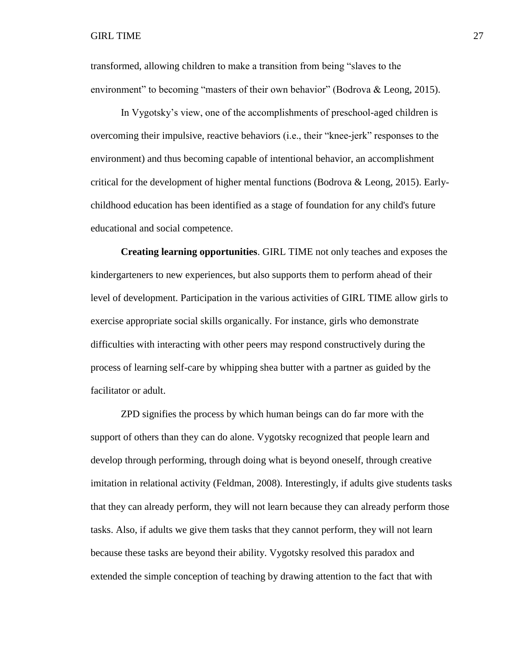transformed, allowing children to make a transition from being "slaves to the environment" to becoming "masters of their own behavior" (Bodrova & Leong, 2015).

In Vygotsky's view, one of the accomplishments of preschool-aged children is overcoming their impulsive, reactive behaviors (i.e., their "knee-jerk" responses to the environment) and thus becoming capable of intentional behavior, an accomplishment critical for the development of higher mental functions (Bodrova & Leong, 2015). Earlychildhood education has been identified as a stage of foundation for any child's future educational and social competence.

**Creating learning opportunities**. GIRL TIME not only teaches and exposes the kindergarteners to new experiences, but also supports them to perform ahead of their level of development. Participation in the various activities of GIRL TIME allow girls to exercise appropriate social skills organically. For instance, girls who demonstrate difficulties with interacting with other peers may respond constructively during the process of learning self-care by whipping shea butter with a partner as guided by the facilitator or adult.

ZPD signifies the process by which human beings can do far more with the support of others than they can do alone. Vygotsky recognized that people learn and develop through performing, through doing what is beyond oneself, through creative imitation in relational activity (Feldman, 2008). Interestingly, if adults give students tasks that they can already perform, they will not learn because they can already perform those tasks. Also, if adults we give them tasks that they cannot perform, they will not learn because these tasks are beyond their ability. Vygotsky resolved this paradox and extended the simple conception of teaching by drawing attention to the fact that with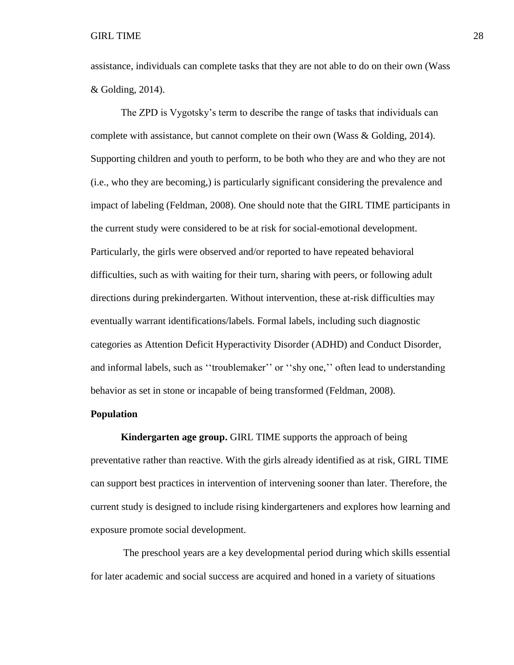assistance, individuals can complete tasks that they are not able to do on their own (Wass & Golding, 2014).

The ZPD is Vygotsky's term to describe the range of tasks that individuals can complete with assistance, but cannot complete on their own (Wass & Golding, 2014). Supporting children and youth to perform, to be both who they are and who they are not (i.e., who they are becoming,) is particularly significant considering the prevalence and impact of labeling (Feldman, 2008). One should note that the GIRL TIME participants in the current study were considered to be at risk for social-emotional development. Particularly, the girls were observed and/or reported to have repeated behavioral difficulties, such as with waiting for their turn, sharing with peers, or following adult directions during prekindergarten. Without intervention, these at-risk difficulties may eventually warrant identifications/labels. Formal labels, including such diagnostic categories as Attention Deficit Hyperactivity Disorder (ADHD) and Conduct Disorder, and informal labels, such as ''troublemaker'' or ''shy one,'' often lead to understanding behavior as set in stone or incapable of being transformed (Feldman, 2008).

#### <span id="page-35-0"></span>**Population**

**Kindergarten age group.** GIRL TIME supports the approach of being preventative rather than reactive. With the girls already identified as at risk, GIRL TIME can support best practices in intervention of intervening sooner than later. Therefore, the current study is designed to include rising kindergarteners and explores how learning and exposure promote social development.

The preschool years are a key developmental period during which skills essential for later academic and social success are acquired and honed in a variety of situations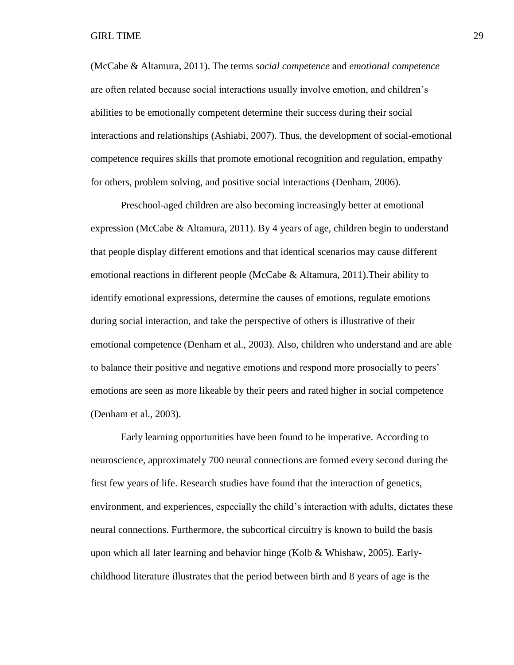(McCabe & Altamura, 2011). The terms *social competence* and *emotional competence* are often related because social interactions usually involve emotion, and children's abilities to be emotionally competent determine their success during their social interactions and relationships (Ashiabi, 2007). Thus, the development of social-emotional competence requires skills that promote emotional recognition and regulation, empathy for others, problem solving, and positive social interactions (Denham, 2006).

Preschool-aged children are also becoming increasingly better at emotional expression (McCabe & Altamura, 2011). By 4 years of age, children begin to understand that people display different emotions and that identical scenarios may cause different emotional reactions in different people (McCabe & Altamura, 2011).Their ability to identify emotional expressions, determine the causes of emotions, regulate emotions during social interaction, and take the perspective of others is illustrative of their emotional competence (Denham et al., 2003). Also, children who understand and are able to balance their positive and negative emotions and respond more prosocially to peers' emotions are seen as more likeable by their peers and rated higher in social competence (Denham et al., 2003).

Early learning opportunities have been found to be imperative. According to neuroscience, approximately 700 neural connections are formed every second during the first few years of life. Research studies have found that the interaction of genetics, environment, and experiences, especially the child's interaction with adults, dictates these neural connections. Furthermore, the subcortical circuitry is known to build the basis upon which all later learning and behavior hinge (Kolb & Whishaw, 2005). Earlychildhood literature illustrates that the period between birth and 8 years of age is the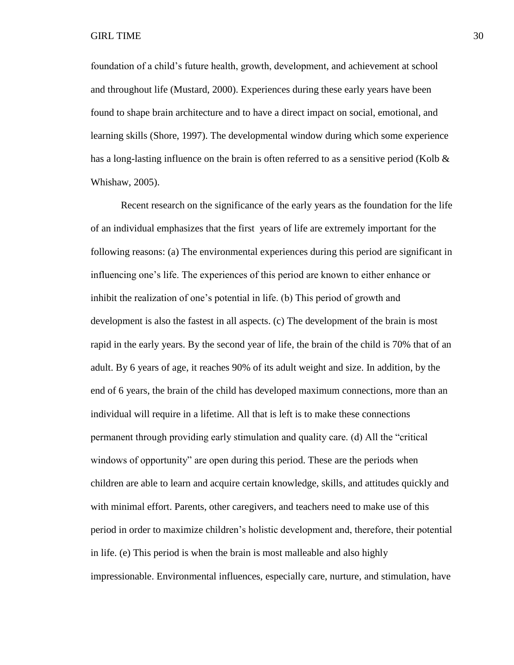foundation of a child's future health, growth, development, and achievement at school and throughout life (Mustard, 2000). Experiences during these early years have been found to shape brain architecture and to have a direct impact on social, emotional, and learning skills (Shore, 1997). The developmental window during which some experience has a long-lasting influence on the brain is often referred to as a sensitive period (Kolb & Whishaw, 2005).

Recent research on the significance of the early years as the foundation for the life of an individual emphasizes that the first years of life are extremely important for the following reasons: (a) The environmental experiences during this period are significant in influencing one's life. The experiences of this period are known to either enhance or inhibit the realization of one's potential in life. (b) This period of growth and development is also the fastest in all aspects. (c) The development of the brain is most rapid in the early years. By the second year of life, the brain of the child is 70% that of an adult. By 6 years of age, it reaches 90% of its adult weight and size. In addition, by the end of 6 years, the brain of the child has developed maximum connections, more than an individual will require in a lifetime. All that is left is to make these connections permanent through providing early stimulation and quality care. (d) All the "critical windows of opportunity" are open during this period. These are the periods when children are able to learn and acquire certain knowledge, skills, and attitudes quickly and with minimal effort. Parents, other caregivers, and teachers need to make use of this period in order to maximize children's holistic development and, therefore, their potential in life. (e) This period is when the brain is most malleable and also highly impressionable. Environmental influences, especially care, nurture, and stimulation, have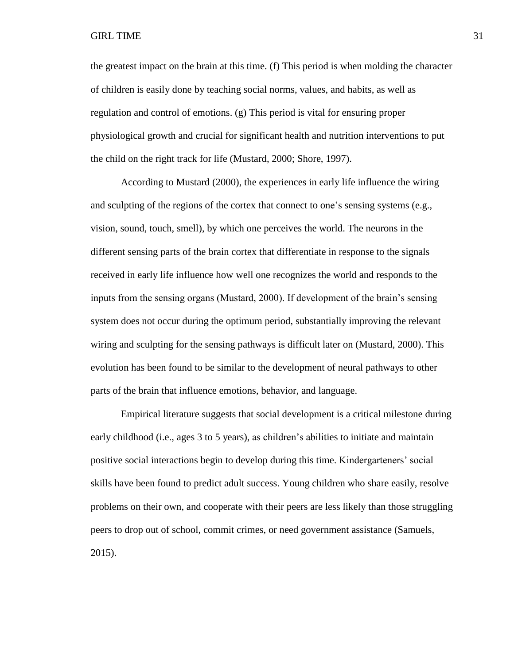the greatest impact on the brain at this time. (f) This period is when molding the character of children is easily done by teaching social norms, values, and habits, as well as regulation and control of emotions. (g) This period is vital for ensuring proper physiological growth and crucial for significant health and nutrition interventions to put the child on the right track for life (Mustard, 2000; Shore, 1997).

According to Mustard (2000), the experiences in early life influence the wiring and sculpting of the regions of the cortex that connect to one's sensing systems (e.g., vision, sound, touch, smell), by which one perceives the world. The neurons in the different sensing parts of the brain cortex that differentiate in response to the signals received in early life influence how well one recognizes the world and responds to the inputs from the sensing organs (Mustard, 2000). If development of the brain's sensing system does not occur during the optimum period, substantially improving the relevant wiring and sculpting for the sensing pathways is difficult later on (Mustard, 2000). This evolution has been found to be similar to the development of neural pathways to other parts of the brain that influence emotions, behavior, and language.

Empirical literature suggests that social development is a critical milestone during early childhood (i.e., ages 3 to 5 years), as children's abilities to initiate and maintain positive social interactions begin to develop during this time. Kindergarteners' social skills have been found to predict adult success. Young children who share easily, resolve problems on their own, and cooperate with their peers are less likely than those struggling peers to drop out of school, commit crimes, or need government assistance (Samuels, 2015).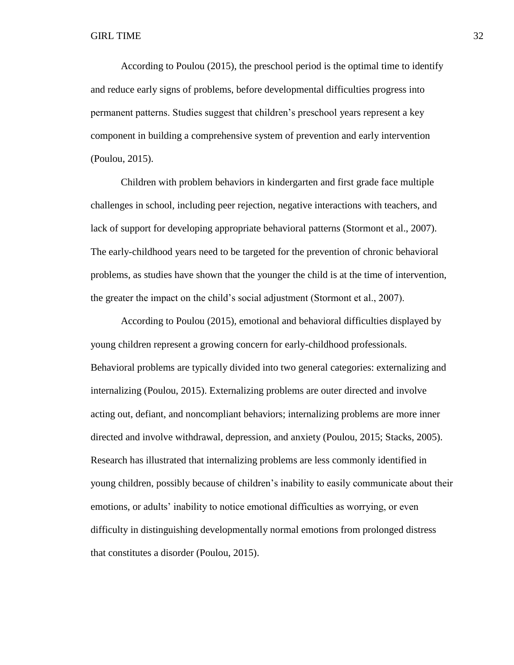According to Poulou (2015), the preschool period is the optimal time to identify and reduce early signs of problems, before developmental difficulties progress into permanent patterns. Studies suggest that children's preschool years represent a key component in building a comprehensive system of prevention and early intervention (Poulou, 2015).

Children with problem behaviors in kindergarten and first grade face multiple challenges in school, including peer rejection, negative interactions with teachers, and lack of support for developing appropriate behavioral patterns (Stormont et al., 2007). The early-childhood years need to be targeted for the prevention of chronic behavioral problems, as studies have shown that the younger the child is at the time of intervention, the greater the impact on the child's social adjustment (Stormont et al., 2007).

According to Poulou (2015), emotional and behavioral difficulties displayed by young children represent a growing concern for early-childhood professionals. Behavioral problems are typically divided into two general categories: externalizing and internalizing (Poulou, 2015). Externalizing problems are outer directed and involve acting out, defiant, and noncompliant behaviors; internalizing problems are more inner directed and involve withdrawal, depression, and anxiety (Poulou, 2015; Stacks, 2005). Research has illustrated that internalizing problems are less commonly identified in young children, possibly because of children's inability to easily communicate about their emotions, or adults' inability to notice emotional difficulties as worrying, or even difficulty in distinguishing developmentally normal emotions from prolonged distress that constitutes a disorder (Poulou, 2015).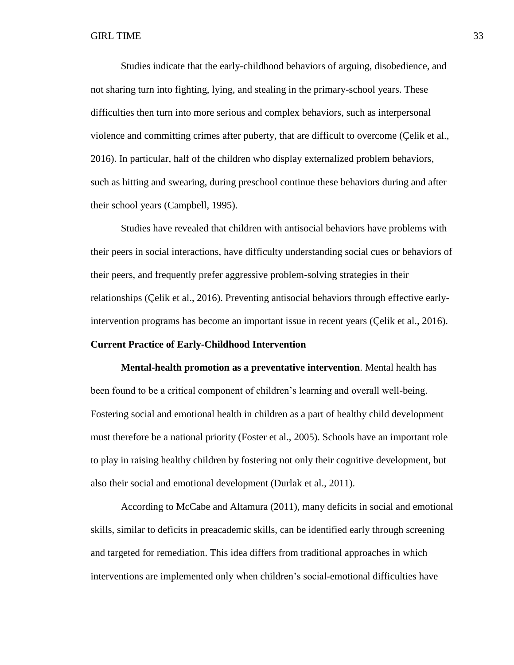Studies indicate that the early-childhood behaviors of arguing, disobedience, and not sharing turn into fighting, lying, and stealing in the primary-school years. These difficulties then turn into more serious and complex behaviors, such as interpersonal violence and committing crimes after puberty, that are difficult to overcome (Çelik et al., 2016). In particular, half of the children who display externalized problem behaviors, such as hitting and swearing, during preschool continue these behaviors during and after their school years (Campbell, 1995).

Studies have revealed that children with antisocial behaviors have problems with their peers in social interactions, have difficulty understanding social cues or behaviors of their peers, and frequently prefer aggressive problem-solving strategies in their relationships (Çelik et al., 2016). Preventing antisocial behaviors through effective earlyintervention programs has become an important issue in recent years (Çelik et al., 2016).

# **Current Practice of Early-Childhood Intervention**

**Mental-health promotion as a preventative intervention**. Mental health has been found to be a critical component of children's learning and overall well-being. Fostering social and emotional health in children as a part of healthy child development must therefore be a national priority (Foster et al., 2005). Schools have an important role to play in raising healthy children by fostering not only their cognitive development, but also their social and emotional development (Durlak et al., 2011).

According to McCabe and Altamura (2011), many deficits in social and emotional skills, similar to deficits in preacademic skills, can be identified early through screening and targeted for remediation. This idea differs from traditional approaches in which interventions are implemented only when children's social-emotional difficulties have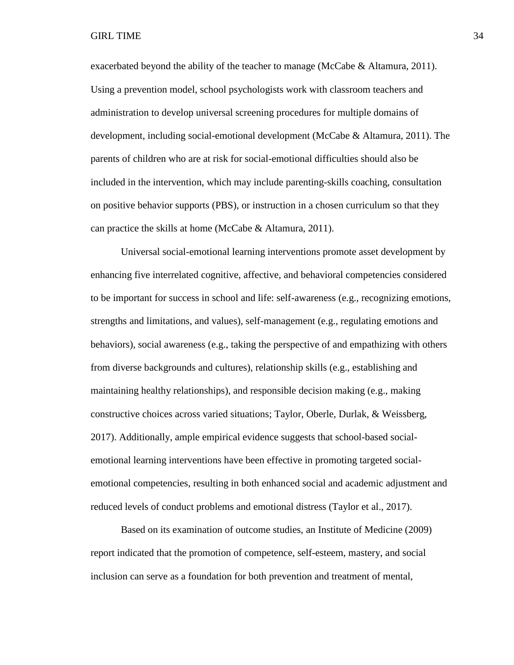exacerbated beyond the ability of the teacher to manage (McCabe & Altamura, 2011). Using a prevention model, school psychologists work with classroom teachers and administration to develop universal screening procedures for multiple domains of development, including social-emotional development (McCabe & Altamura, 2011). The parents of children who are at risk for social-emotional difficulties should also be included in the intervention, which may include parenting-skills coaching, consultation on positive behavior supports (PBS), or instruction in a chosen curriculum so that they can practice the skills at home (McCabe & Altamura, 2011).

Universal social-emotional learning interventions promote asset development by enhancing five interrelated cognitive, affective, and behavioral competencies considered to be important for success in school and life: self-awareness (e.g., recognizing emotions, strengths and limitations, and values), self-management (e.g., regulating emotions and behaviors), social awareness (e.g., taking the perspective of and empathizing with others from diverse backgrounds and cultures), relationship skills (e.g., establishing and maintaining healthy relationships), and responsible decision making (e.g., making constructive choices across varied situations; Taylor, Oberle, Durlak, & Weissberg, 2017). Additionally, ample empirical evidence suggests that school-based socialemotional learning interventions have been effective in promoting targeted socialemotional competencies, resulting in both enhanced social and academic adjustment and reduced levels of conduct problems and emotional distress (Taylor et al., 2017).

Based on its examination of outcome studies, an Institute of Medicine (2009) report indicated that the promotion of competence, self-esteem, mastery, and social inclusion can serve as a foundation for both prevention and treatment of mental,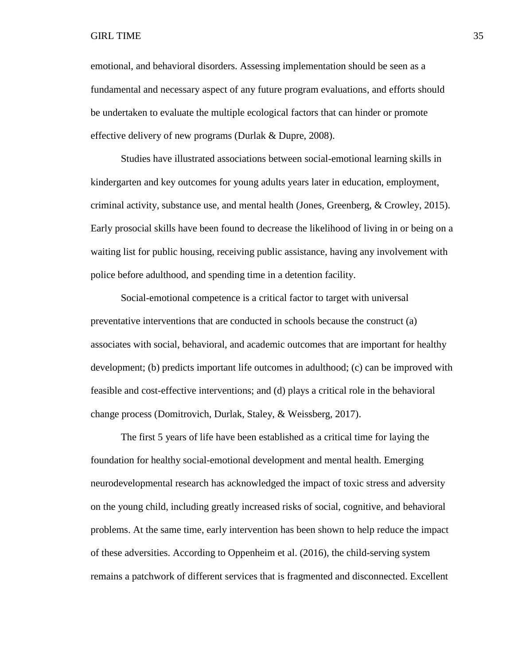emotional, and behavioral disorders. Assessing implementation should be seen as a fundamental and necessary aspect of any future program evaluations, and efforts should be undertaken to evaluate the multiple ecological factors that can hinder or promote effective delivery of new programs (Durlak & Dupre, 2008).

Studies have illustrated associations between social-emotional learning skills in kindergarten and key outcomes for young adults years later in education, employment, criminal activity, substance use, and mental health (Jones, Greenberg, & Crowley, 2015). Early prosocial skills have been found to decrease the likelihood of living in or being on a waiting list for public housing, receiving public assistance, having any involvement with police before adulthood, and spending time in a detention facility.

Social-emotional competence is a critical factor to target with universal preventative interventions that are conducted in schools because the construct (a) associates with social, behavioral, and academic outcomes that are important for healthy development; (b) predicts important life outcomes in adulthood; (c) can be improved with feasible and cost-effective interventions; and (d) plays a critical role in the behavioral change process (Domitrovich, Durlak, Staley, & Weissberg, 2017).

The first 5 years of life have been established as a critical time for laying the foundation for healthy social-emotional development and mental health. Emerging neurodevelopmental research has acknowledged the impact of toxic stress and adversity on the young child, including greatly increased risks of social, cognitive, and behavioral problems. At the same time, early intervention has been shown to help reduce the impact of these adversities. According to Oppenheim et al. (2016), the child-serving system remains a patchwork of different services that is fragmented and disconnected. Excellent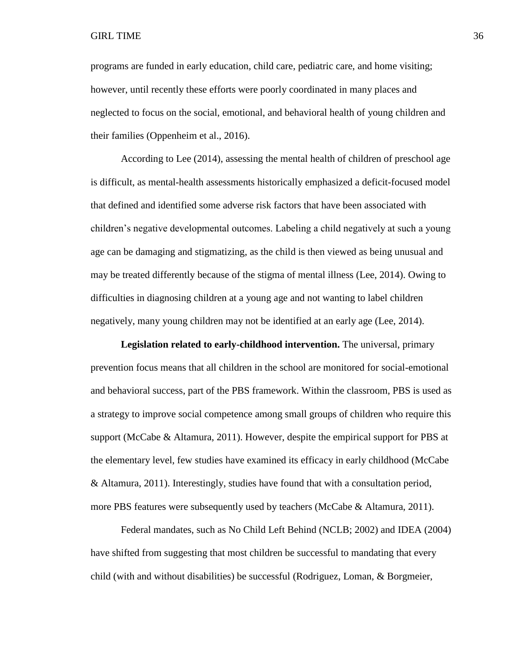programs are funded in early education, child care, pediatric care, and home visiting; however, until recently these efforts were poorly coordinated in many places and neglected to focus on the social, emotional, and behavioral health of young children and their families (Oppenheim et al., 2016).

According to Lee (2014), assessing the mental health of children of preschool age is difficult, as mental-health assessments historically emphasized a deficit-focused model that defined and identified some adverse risk factors that have been associated with children's negative developmental outcomes. Labeling a child negatively at such a young age can be damaging and stigmatizing, as the child is then viewed as being unusual and may be treated differently because of the stigma of mental illness (Lee, 2014). Owing to difficulties in diagnosing children at a young age and not wanting to label children negatively, many young children may not be identified at an early age (Lee, 2014).

**Legislation related to early-childhood intervention.** The universal, primary prevention focus means that all children in the school are monitored for social-emotional and behavioral success, part of the PBS framework. Within the classroom, PBS is used as a strategy to improve social competence among small groups of children who require this support (McCabe & Altamura, 2011). However, despite the empirical support for PBS at the elementary level, few studies have examined its efficacy in early childhood (McCabe & Altamura, 2011). Interestingly, studies have found that with a consultation period, more PBS features were subsequently used by teachers (McCabe & Altamura, 2011).

Federal mandates, such as No Child Left Behind (NCLB; 2002) and IDEA (2004) have shifted from suggesting that most children be successful to mandating that every child (with and without disabilities) be successful (Rodriguez, Loman, & Borgmeier,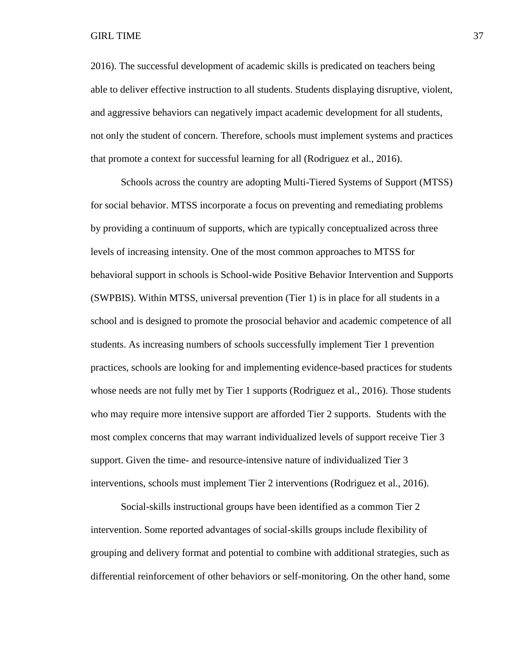2016). The successful development of academic skills is predicated on teachers being able to deliver effective instruction to all students. Students displaying disruptive, violent, and aggressive behaviors can negatively impact academic development for all students, not only the student of concern. Therefore, schools must implement systems and practices that promote a context for successful learning for all (Rodriguez et al., 2016).

Schools across the country are adopting Multi-Tiered Systems of Support (MTSS) for social behavior. MTSS incorporate a focus on preventing and remediating problems by providing a continuum of supports, which are typically conceptualized across three levels of increasing intensity. One of the most common approaches to MTSS for behavioral support in schools is School-wide Positive Behavior Intervention and Supports (SWPBIS). Within MTSS, universal prevention (Tier 1) is in place for all students in a school and is designed to promote the prosocial behavior and academic competence of all students. As increasing numbers of schools successfully implement Tier 1 prevention practices, schools are looking for and implementing evidence-based practices for students whose needs are not fully met by Tier 1 supports (Rodriguez et al., 2016). Those students who may require more intensive support are afforded Tier 2 supports. Students with the most complex concerns that may warrant individualized levels of support receive Tier 3 support. Given the time- and resource-intensive nature of individualized Tier 3 interventions, schools must implement Tier 2 interventions (Rodriguez et al., 2016).

Social-skills instructional groups have been identified as a common Tier 2 intervention. Some reported advantages of social-skills groups include flexibility of grouping and delivery format and potential to combine with additional strategies, such as differential reinforcement of other behaviors or self-monitoring. On the other hand, some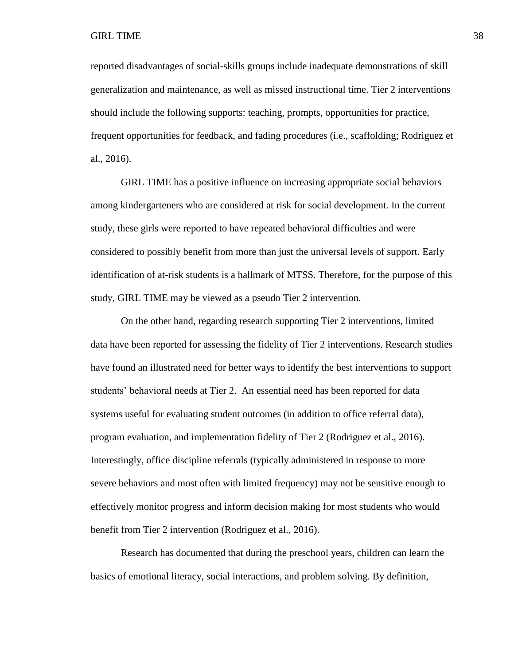reported disadvantages of social-skills groups include inadequate demonstrations of skill generalization and maintenance, as well as missed instructional time. Tier 2 interventions should include the following supports: teaching, prompts, opportunities for practice, frequent opportunities for feedback, and fading procedures (i.e., scaffolding; Rodriguez et al., 2016).

GIRL TIME has a positive influence on increasing appropriate social behaviors among kindergarteners who are considered at risk for social development. In the current study, these girls were reported to have repeated behavioral difficulties and were considered to possibly benefit from more than just the universal levels of support. Early identification of at-risk students is a hallmark of MTSS. Therefore, for the purpose of this study, GIRL TIME may be viewed as a pseudo Tier 2 intervention.

On the other hand, regarding research supporting Tier 2 interventions, limited data have been reported for assessing the fidelity of Tier 2 interventions. Research studies have found an illustrated need for better ways to identify the best interventions to support students' behavioral needs at Tier 2. An essential need has been reported for data systems useful for evaluating student outcomes (in addition to office referral data), program evaluation, and implementation fidelity of Tier 2 (Rodriguez et al., 2016). Interestingly, office discipline referrals (typically administered in response to more severe behaviors and most often with limited frequency) may not be sensitive enough to effectively monitor progress and inform decision making for most students who would benefit from Tier 2 intervention (Rodriguez et al., 2016).

Research has documented that during the preschool years, children can learn the basics of emotional literacy, social interactions, and problem solving. By definition,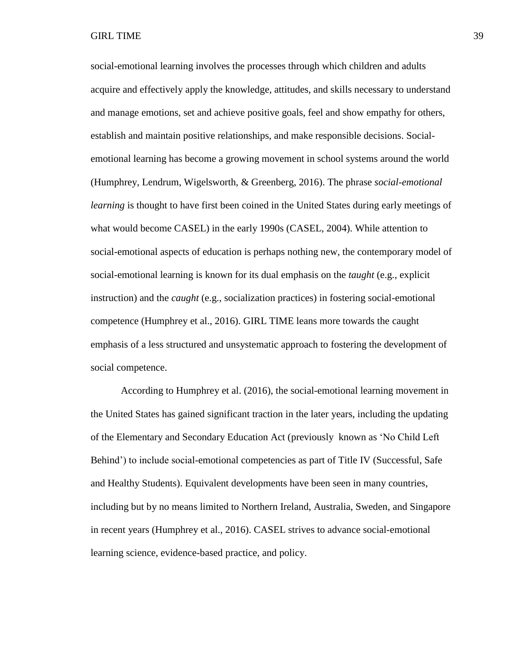social-emotional learning involves the processes through which children and adults acquire and effectively apply the knowledge, attitudes, and skills necessary to understand and manage emotions, set and achieve positive goals, feel and show empathy for others, establish and maintain positive relationships, and make responsible decisions. Socialemotional learning has become a growing movement in school systems around the world (Humphrey, Lendrum, Wigelsworth, & Greenberg, 2016). The phrase *social-emotional learning* is thought to have first been coined in the United States during early meetings of what would become CASEL) in the early 1990s (CASEL, 2004). While attention to social-emotional aspects of education is perhaps nothing new, the contemporary model of social-emotional learning is known for its dual emphasis on the *taught* (e.g., explicit instruction) and the *caught* (e.g., socialization practices) in fostering social-emotional competence (Humphrey et al., 2016). GIRL TIME leans more towards the caught emphasis of a less structured and unsystematic approach to fostering the development of social competence.

According to Humphrey et al. (2016), the social-emotional learning movement in the United States has gained significant traction in the later years, including the updating of the Elementary and Secondary Education Act (previously known as 'No Child Left Behind') to include social-emotional competencies as part of Title IV (Successful, Safe and Healthy Students). Equivalent developments have been seen in many countries, including but by no means limited to Northern Ireland, Australia, Sweden, and Singapore in recent years (Humphrey et al., 2016). CASEL strives to advance social-emotional learning science, evidence-based practice, and policy.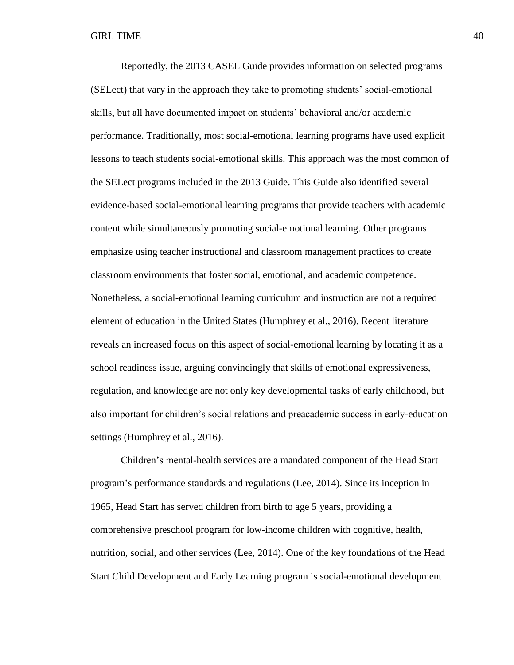Reportedly, the 2013 CASEL Guide provides information on selected programs (SELect) that vary in the approach they take to promoting students' social-emotional skills, but all have documented impact on students' behavioral and/or academic performance. Traditionally, most social-emotional learning programs have used explicit lessons to teach students social-emotional skills. This approach was the most common of the SELect programs included in the 2013 Guide. This Guide also identified several evidence-based social-emotional learning programs that provide teachers with academic content while simultaneously promoting social-emotional learning. Other programs emphasize using teacher instructional and classroom management practices to create classroom environments that foster social, emotional, and academic competence. Nonetheless, a social-emotional learning curriculum and instruction are not a required element of education in the United States (Humphrey et al., 2016). Recent literature reveals an increased focus on this aspect of social-emotional learning by locating it as a school readiness issue, arguing convincingly that skills of emotional expressiveness, regulation, and knowledge are not only key developmental tasks of early childhood, but also important for children's social relations and preacademic success in early-education settings (Humphrey et al., 2016).

Children's mental-health services are a mandated component of the Head Start program's performance standards and regulations (Lee, 2014). Since its inception in 1965, Head Start has served children from birth to age 5 years, providing a comprehensive preschool program for low-income children with cognitive, health, nutrition, social, and other services (Lee, 2014). One of the key foundations of the Head Start Child Development and Early Learning program is social-emotional development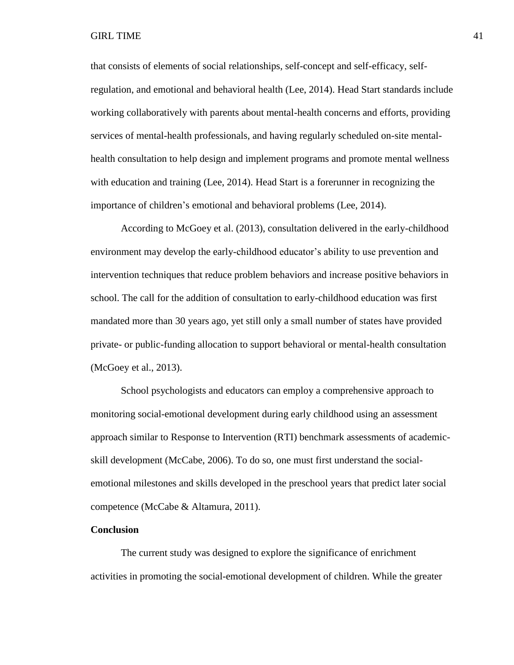that consists of elements of social relationships, self-concept and self-efficacy, selfregulation, and emotional and behavioral health (Lee, 2014). Head Start standards include working collaboratively with parents about mental-health concerns and efforts, providing services of mental-health professionals, and having regularly scheduled on-site mentalhealth consultation to help design and implement programs and promote mental wellness with education and training (Lee, 2014). Head Start is a forerunner in recognizing the importance of children's emotional and behavioral problems (Lee, 2014).

According to McGoey et al. (2013), consultation delivered in the early-childhood environment may develop the early-childhood educator's ability to use prevention and intervention techniques that reduce problem behaviors and increase positive behaviors in school. The call for the addition of consultation to early-childhood education was first mandated more than 30 years ago, yet still only a small number of states have provided private- or public-funding allocation to support behavioral or mental-health consultation (McGoey et al., 2013).

School psychologists and educators can employ a comprehensive approach to monitoring social-emotional development during early childhood using an assessment approach similar to Response to Intervention (RTI) benchmark assessments of academicskill development (McCabe, 2006). To do so, one must first understand the socialemotional milestones and skills developed in the preschool years that predict later social competence (McCabe & Altamura, 2011).

# **Conclusion**

The current study was designed to explore the significance of enrichment activities in promoting the social-emotional development of children. While the greater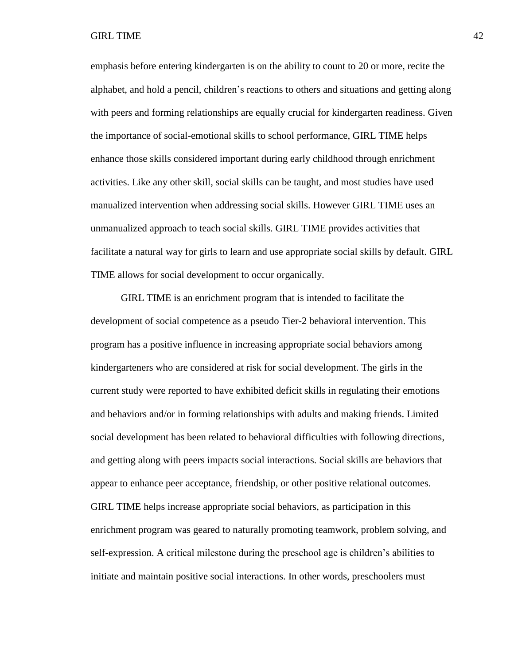emphasis before entering kindergarten is on the ability to count to 20 or more, recite the alphabet, and hold a pencil, children's reactions to others and situations and getting along with peers and forming relationships are equally crucial for kindergarten readiness. Given the importance of social-emotional skills to school performance, GIRL TIME helps enhance those skills considered important during early childhood through enrichment activities. Like any other skill, social skills can be taught, and most studies have used manualized intervention when addressing social skills. However GIRL TIME uses an unmanualized approach to teach social skills. GIRL TIME provides activities that facilitate a natural way for girls to learn and use appropriate social skills by default. GIRL TIME allows for social development to occur organically.

GIRL TIME is an enrichment program that is intended to facilitate the development of social competence as a pseudo Tier-2 behavioral intervention. This program has a positive influence in increasing appropriate social behaviors among kindergarteners who are considered at risk for social development. The girls in the current study were reported to have exhibited deficit skills in regulating their emotions and behaviors and/or in forming relationships with adults and making friends. Limited social development has been related to behavioral difficulties with following directions, and getting along with peers impacts social interactions. Social skills are behaviors that appear to enhance peer acceptance, friendship, or other positive relational outcomes. GIRL TIME helps increase appropriate social behaviors, as participation in this enrichment program was geared to naturally promoting teamwork, problem solving, and self-expression. A critical milestone during the preschool age is children's abilities to initiate and maintain positive social interactions. In other words, preschoolers must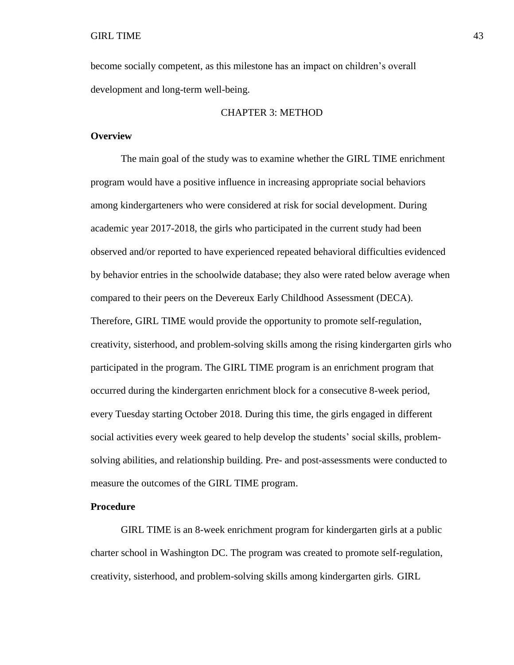become socially competent, as this milestone has an impact on children's overall development and long-term well-being.

# CHAPTER 3: METHOD

# **Overview**

The main goal of the study was to examine whether the GIRL TIME enrichment program would have a positive influence in increasing appropriate social behaviors among kindergarteners who were considered at risk for social development. During academic year 2017-2018, the girls who participated in the current study had been observed and/or reported to have experienced repeated behavioral difficulties evidenced by behavior entries in the schoolwide database; they also were rated below average when compared to their peers on the Devereux Early Childhood Assessment (DECA). Therefore, GIRL TIME would provide the opportunity to promote self-regulation, creativity, sisterhood, and problem-solving skills among the rising kindergarten girls who participated in the program. The GIRL TIME program is an enrichment program that occurred during the kindergarten enrichment block for a consecutive 8-week period, every Tuesday starting October 2018. During this time, the girls engaged in different social activities every week geared to help develop the students' social skills, problemsolving abilities, and relationship building. Pre- and post-assessments were conducted to measure the outcomes of the GIRL TIME program.

### **Procedure**

GIRL TIME is an 8-week enrichment program for kindergarten girls at a public charter school in Washington DC. The program was created to promote self-regulation, creativity, sisterhood, and problem-solving skills among kindergarten girls. GIRL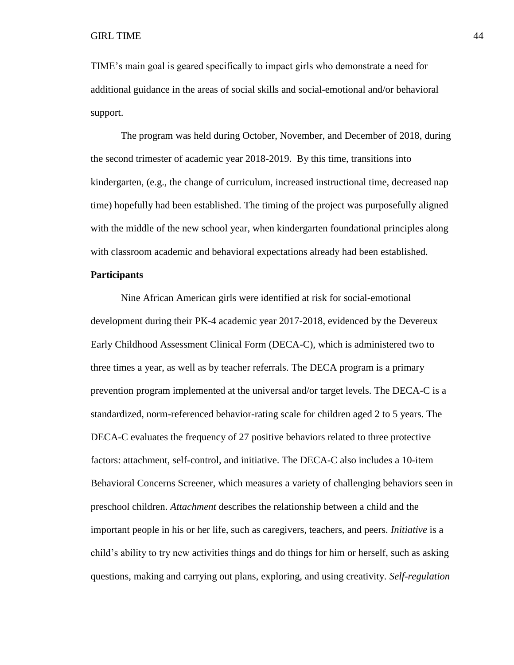TIME's main goal is geared specifically to impact girls who demonstrate a need for additional guidance in the areas of social skills and social-emotional and/or behavioral support.

The program was held during October, November, and December of 2018, during the second trimester of academic year 2018-2019. By this time, transitions into kindergarten, (e.g., the change of curriculum, increased instructional time, decreased nap time) hopefully had been established. The timing of the project was purposefully aligned with the middle of the new school year, when kindergarten foundational principles along with classroom academic and behavioral expectations already had been established.

# **Participants**

Nine African American girls were identified at risk for social-emotional development during their PK-4 academic year 2017-2018, evidenced by the Devereux Early Childhood Assessment Clinical Form (DECA-C), which is administered two to three times a year, as well as by teacher referrals. The DECA program is a primary prevention program implemented at the universal and/or target levels. The DECA-C is a standardized, norm-referenced behavior-rating scale for children aged 2 to 5 years. The DECA-C evaluates the frequency of 27 positive behaviors related to three protective factors: attachment, self-control, and initiative. The DECA-C also includes a 10-item Behavioral Concerns Screener, which measures a variety of challenging behaviors seen in preschool children. *Attachment* describes the relationship between a child and the important people in his or her life, such as caregivers, teachers, and peers. *Initiative* is a child's ability to try new activities things and do things for him or herself, such as asking questions, making and carrying out plans, exploring, and using creativity. *Self-regulation*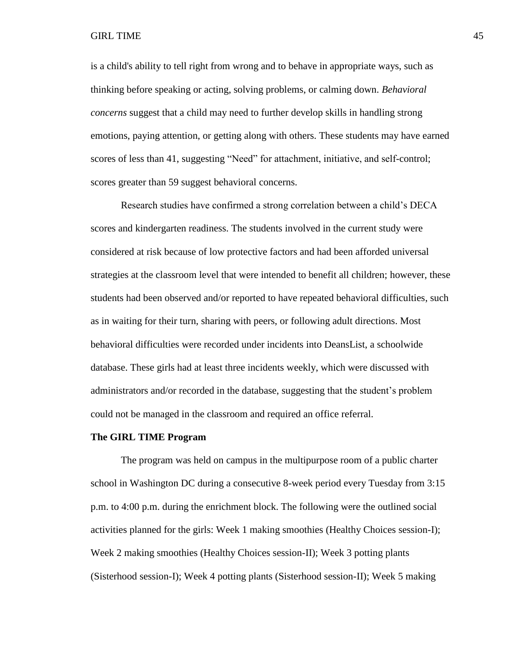is a child's ability to tell right from wrong and to behave in appropriate ways, such as thinking before speaking or acting, solving problems, or calming down. *Behavioral concerns* suggest that a child may need to further develop skills in handling strong emotions, paying attention, or getting along with others. These students may have earned scores of less than 41, suggesting "Need" for attachment, initiative, and self-control; scores greater than 59 suggest behavioral concerns.

Research studies have confirmed a strong correlation between a child's DECA scores and kindergarten readiness. The students involved in the current study were considered at risk because of low protective factors and had been afforded universal strategies at the classroom level that were intended to benefit all children; however, these students had been observed and/or reported to have repeated behavioral difficulties, such as in waiting for their turn, sharing with peers, or following adult directions. Most behavioral difficulties were recorded under incidents into DeansList, a schoolwide database. These girls had at least three incidents weekly, which were discussed with administrators and/or recorded in the database, suggesting that the student's problem could not be managed in the classroom and required an office referral.

### **The GIRL TIME Program**

The program was held on campus in the multipurpose room of a public charter school in Washington DC during a consecutive 8-week period every Tuesday from 3:15 p.m. to 4:00 p.m. during the enrichment block. The following were the outlined social activities planned for the girls: Week 1 making smoothies (Healthy Choices session-I); Week 2 making smoothies (Healthy Choices session-II); Week 3 potting plants (Sisterhood session-I); Week 4 potting plants (Sisterhood session-II); Week 5 making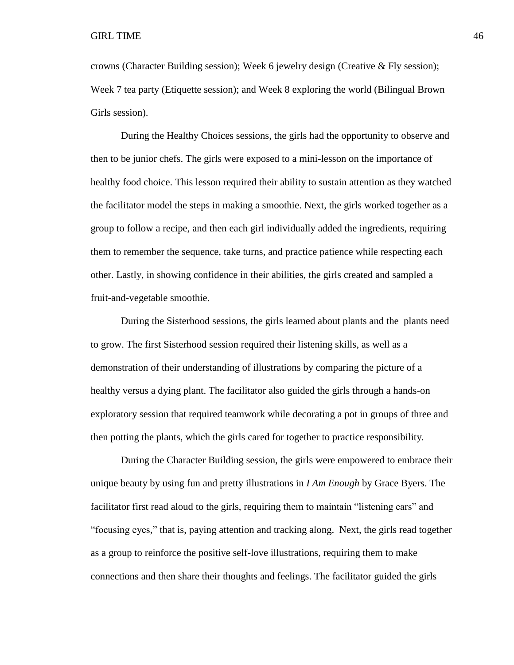crowns (Character Building session); Week 6 jewelry design (Creative & Fly session); Week 7 tea party (Etiquette session); and Week 8 exploring the world (Bilingual Brown Girls session).

During the Healthy Choices sessions, the girls had the opportunity to observe and then to be junior chefs. The girls were exposed to a mini-lesson on the importance of healthy food choice. This lesson required their ability to sustain attention as they watched the facilitator model the steps in making a smoothie. Next, the girls worked together as a group to follow a recipe, and then each girl individually added the ingredients, requiring them to remember the sequence, take turns, and practice patience while respecting each other. Lastly, in showing confidence in their abilities, the girls created and sampled a fruit-and-vegetable smoothie.

During the Sisterhood sessions, the girls learned about plants and the plants need to grow. The first Sisterhood session required their listening skills, as well as a demonstration of their understanding of illustrations by comparing the picture of a healthy versus a dying plant. The facilitator also guided the girls through a hands-on exploratory session that required teamwork while decorating a pot in groups of three and then potting the plants, which the girls cared for together to practice responsibility.

During the Character Building session, the girls were empowered to embrace their unique beauty by using fun and pretty illustrations in *I Am Enough* by Grace Byers. The facilitator first read aloud to the girls, requiring them to maintain "listening ears" and "focusing eyes," that is, paying attention and tracking along. Next, the girls read together as a group to reinforce the positive self-love illustrations, requiring them to make connections and then share their thoughts and feelings. The facilitator guided the girls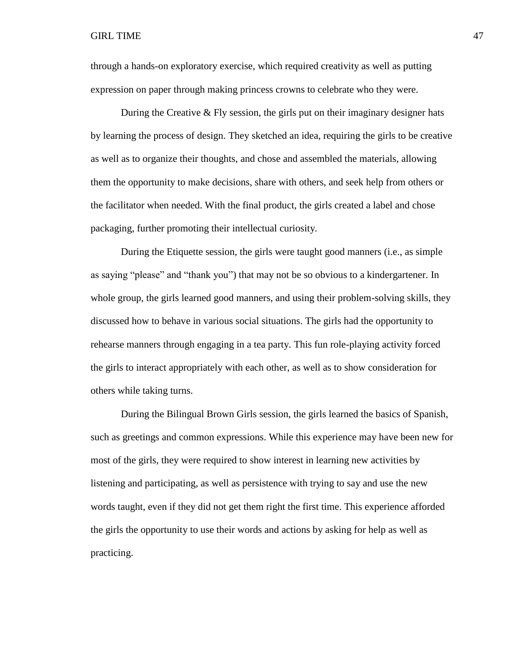through a hands-on exploratory exercise, which required creativity as well as putting expression on paper through making princess crowns to celebrate who they were.

During the Creative  $&$  Fly session, the girls put on their imaginary designer hats by learning the process of design. They sketched an idea, requiring the girls to be creative as well as to organize their thoughts, and chose and assembled the materials, allowing them the opportunity to make decisions, share with others, and seek help from others or the facilitator when needed. With the final product, the girls created a label and chose packaging, further promoting their intellectual curiosity.

During the Etiquette session, the girls were taught good manners (i.e., as simple as saying "please" and "thank you") that may not be so obvious to a kindergartener. In whole group, the girls learned good manners, and using their problem-solving skills, they discussed how to behave in various social situations. The girls had the opportunity to rehearse manners through engaging in a tea party. This fun role-playing activity forced the girls to interact appropriately with each other, as well as to show consideration for others while taking turns.

During the Bilingual Brown Girls session, the girls learned the basics of Spanish, such as greetings and common expressions. While this experience may have been new for most of the girls, they were required to show interest in learning new activities by listening and participating, as well as persistence with trying to say and use the new words taught, even if they did not get them right the first time. This experience afforded the girls the opportunity to use their words and actions by asking for help as well as practicing.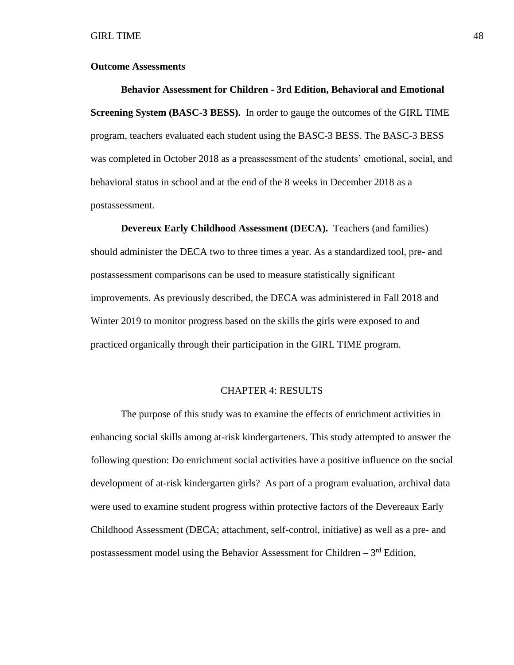### **Outcome Assessments**

**Behavior Assessment for Children - 3rd Edition, Behavioral and Emotional Screening System (BASC-3 BESS).** In order to gauge the outcomes of the GIRL TIME program, teachers evaluated each student using the BASC-3 BESS. The BASC-3 BESS was completed in October 2018 as a preassessment of the students' emotional, social, and behavioral status in school and at the end of the 8 weeks in December 2018 as a postassessment.

**Devereux Early Childhood Assessment (DECA).** Teachers (and families) should administer the DECA two to three times a year. As a standardized tool, pre- and postassessment comparisons can be used to measure statistically significant improvements. As previously described, the DECA was administered in Fall 2018 and Winter 2019 to monitor progress based on the skills the girls were exposed to and practiced organically through their participation in the GIRL TIME program.

### CHAPTER 4: RESULTS

The purpose of this study was to examine the effects of enrichment activities in enhancing social skills among at-risk kindergarteners. This study attempted to answer the following question: Do enrichment social activities have a positive influence on the social development of at-risk kindergarten girls? As part of a program evaluation, archival data were used to examine student progress within protective factors of the Devereaux Early Childhood Assessment (DECA; attachment, self-control, initiative) as well as a pre- and postassessment model using the Behavior Assessment for Children  $-3<sup>rd</sup>$  Edition,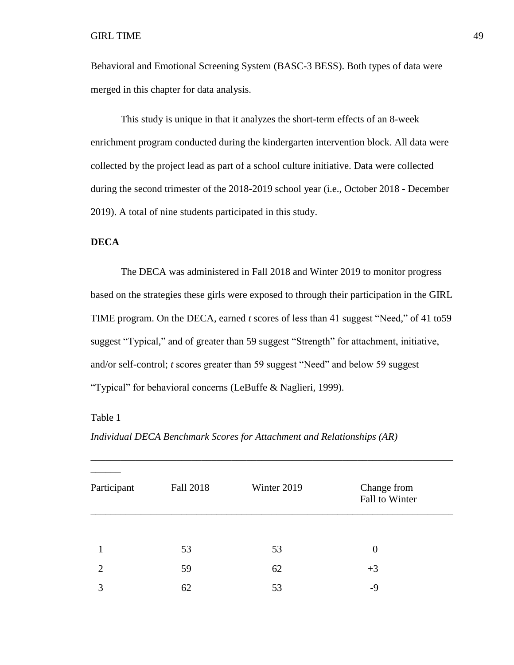Behavioral and Emotional Screening System (BASC-3 BESS). Both types of data were merged in this chapter for data analysis.

This study is unique in that it analyzes the short-term effects of an 8-week enrichment program conducted during the kindergarten intervention block. All data were collected by the project lead as part of a school culture initiative. Data were collected during the second trimester of the 2018-2019 school year (i.e., October 2018 - December 2019). A total of nine students participated in this study.

# **DECA**

The DECA was administered in Fall 2018 and Winter 2019 to monitor progress based on the strategies these girls were exposed to through their participation in the GIRL TIME program. On the DECA, earned *t* scores of less than 41 suggest "Need," of 41 to59 suggest "Typical," and of greater than 59 suggest "Strength" for attachment, initiative, and/or self-control; *t* scores greater than 59 suggest "Need" and below 59 suggest "Typical" for behavioral concerns (LeBuffe & Naglieri, 1999).

Table 1

*Individual DECA Benchmark Scores for Attachment and Relationships (AR)*

| Participant    | Fall 2018 | Winter 2019 | Change from<br>Fall to Winter |  |
|----------------|-----------|-------------|-------------------------------|--|
|                |           |             |                               |  |
|                | 53        | 53          | $\overline{0}$                |  |
| $\overline{2}$ | 59        | 62          | $+3$                          |  |
| 3              | 62        | 53          | -9                            |  |

\_\_\_\_\_\_\_\_\_\_\_\_\_\_\_\_\_\_\_\_\_\_\_\_\_\_\_\_\_\_\_\_\_\_\_\_\_\_\_\_\_\_\_\_\_\_\_\_\_\_\_\_\_\_\_\_\_\_\_\_\_\_\_\_\_\_\_\_\_\_\_\_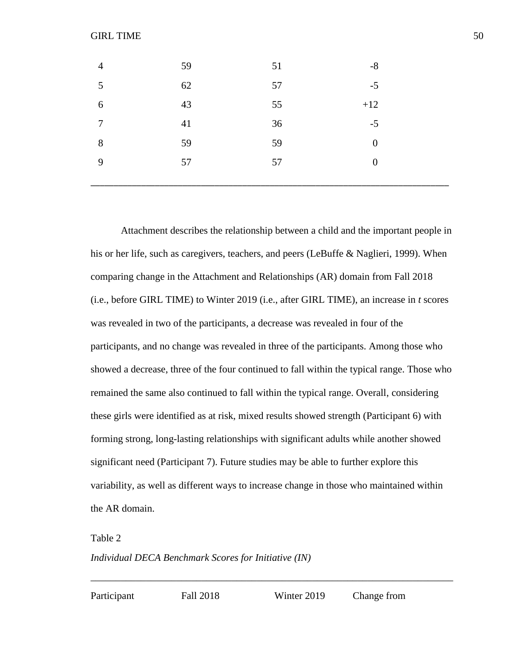| $\overline{4}$ | 59 | 51 | $-8$           |
|----------------|----|----|----------------|
| 5              | 62 | 57 | $-5$           |
| 6              | 43 | 55 | $+12$          |
| $\overline{7}$ | 41 | 36 | $-5$           |
| 8              | 59 | 59 | $\overline{0}$ |
| 9              | 57 | 57 | $\overline{0}$ |
|                |    |    |                |

Attachment describes the relationship between a child and the important people in his or her life, such as caregivers, teachers, and peers (LeBuffe & Naglieri, 1999). When comparing change in the Attachment and Relationships (AR) domain from Fall 2018 (i.e., before GIRL TIME) to Winter 2019 (i.e., after GIRL TIME), an increase in *t* scores was revealed in two of the participants, a decrease was revealed in four of the participants, and no change was revealed in three of the participants. Among those who showed a decrease, three of the four continued to fall within the typical range. Those who remained the same also continued to fall within the typical range. Overall, considering these girls were identified as at risk, mixed results showed strength (Participant 6) with forming strong, long-lasting relationships with significant adults while another showed significant need (Participant 7). Future studies may be able to further explore this variability, as well as different ways to increase change in those who maintained within the AR domain.

Table 2

*Individual DECA Benchmark Scores for Initiative (IN)*

Participant Fall 2018 Winter 2019 Change from

\_\_\_\_\_\_\_\_\_\_\_\_\_\_\_\_\_\_\_\_\_\_\_\_\_\_\_\_\_\_\_\_\_\_\_\_\_\_\_\_\_\_\_\_\_\_\_\_\_\_\_\_\_\_\_\_\_\_\_\_\_\_\_\_\_\_\_\_\_\_\_\_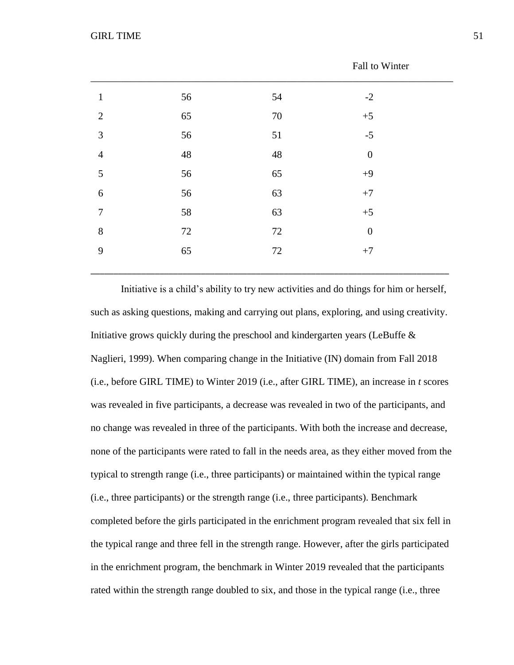|                |             |             | T all to W little |  |
|----------------|-------------|-------------|-------------------|--|
| $\mathbf{1}$   | 56          | 54          | $-2$              |  |
| $\overline{2}$ | 65          | $70\,$      | $+5$              |  |
| $\mathfrak{Z}$ | 56          | 51          | $-5$              |  |
| $\overline{4}$ | $\sqrt{48}$ | $\sqrt{48}$ | $\boldsymbol{0}$  |  |
| $\sqrt{5}$     | 56          | 65          | $+9$              |  |
| $\sqrt{6}$     | 56          | 63          | $+7$              |  |
| $\overline{7}$ | 58          | 63          | $+5$              |  |
| $8\,$          | 72          | 72          | $\boldsymbol{0}$  |  |
| 9              | 65          | 72          | $+7$              |  |
|                |             |             |                   |  |

Initiative is a child's ability to try new activities and do things for him or herself, such as asking questions, making and carrying out plans, exploring, and using creativity. Initiative grows quickly during the preschool and kindergarten years (LeBuffe  $\&$ Naglieri, 1999). When comparing change in the Initiative (IN) domain from Fall 2018 (i.e., before GIRL TIME) to Winter 2019 (i.e., after GIRL TIME), an increase in *t* scores was revealed in five participants, a decrease was revealed in two of the participants, and no change was revealed in three of the participants. With both the increase and decrease, none of the participants were rated to fall in the needs area, as they either moved from the typical to strength range (i.e., three participants) or maintained within the typical range (i.e., three participants) or the strength range (i.e., three participants). Benchmark completed before the girls participated in the enrichment program revealed that six fell in the typical range and three fell in the strength range. However, after the girls participated in the enrichment program, the benchmark in Winter 2019 revealed that the participants rated within the strength range doubled to six, and those in the typical range (i.e., three

Fall to Winter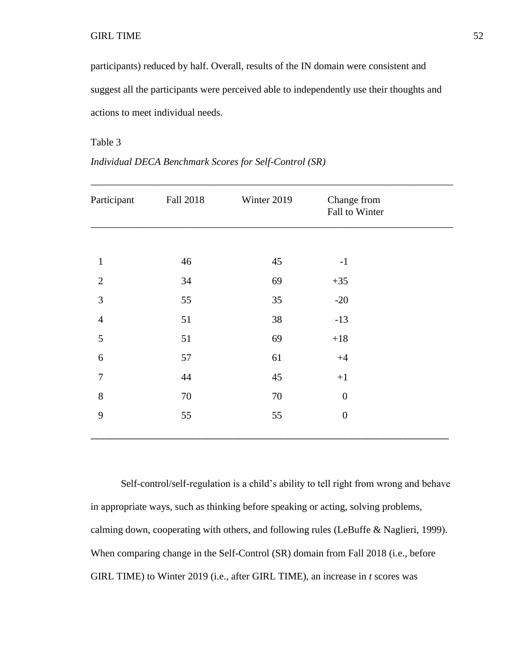participants) reduced by half. Overall, results of the IN domain were consistent and suggest all the participants were perceived able to independently use their thoughts and actions to meet individual needs.

Table 3

| Participant    | <b>Fall 2018</b> | Winter 2019 | Change from<br>Fall to Winter |  |
|----------------|------------------|-------------|-------------------------------|--|
|                |                  |             |                               |  |
| $\mathbf{1}$   | 46               | 45          | $-1$                          |  |
| $\overline{2}$ | 34               | 69          | $+35$                         |  |
| 3              | 55               | 35          | $-20$                         |  |
| $\overline{4}$ | 51               | 38          | $-13$                         |  |
| $\mathfrak s$  | 51               | 69          | $+18$                         |  |
| 6              | 57               | 61          | $+4$                          |  |
| $\overline{7}$ | 44               | 45          | $+1$                          |  |
| $8\,$          | 70               | 70          | $\overline{0}$                |  |
| 9              | 55               | 55          | $\boldsymbol{0}$              |  |
|                |                  |             |                               |  |

*Individual DECA Benchmark Scores for Self-Control (SR)*

Self-control/self-regulation is a child's ability to tell right from wrong and behave in appropriate ways, such as thinking before speaking or acting, solving problems, calming down, cooperating with others, and following rules (LeBuffe & Naglieri, 1999). When comparing change in the Self-Control (SR) domain from Fall 2018 (i.e., before GIRL TIME) to Winter 2019 (i.e., after GIRL TIME), an increase in *t* scores was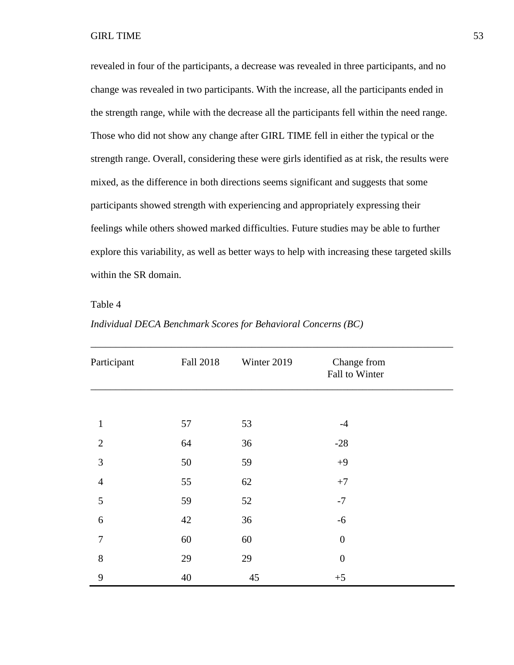revealed in four of the participants, a decrease was revealed in three participants, and no change was revealed in two participants. With the increase, all the participants ended in the strength range, while with the decrease all the participants fell within the need range. Those who did not show any change after GIRL TIME fell in either the typical or the strength range. Overall, considering these were girls identified as at risk, the results were mixed, as the difference in both directions seems significant and suggests that some participants showed strength with experiencing and appropriately expressing their feelings while others showed marked difficulties. Future studies may be able to further explore this variability, as well as better ways to help with increasing these targeted skills within the SR domain.

Table 4

| Participant    | <b>Fall 2018</b> | Winter 2019 | Change from<br>Fall to Winter |  |
|----------------|------------------|-------------|-------------------------------|--|
|                |                  |             |                               |  |
| $\mathbf{1}$   | 57               | 53          | $-4$                          |  |
| $\overline{2}$ | 64               | 36          | $-28$                         |  |
| $\mathfrak{Z}$ | 50               | 59          | $+9$                          |  |
| $\overline{4}$ | 55               | 62          | $+7$                          |  |
| $\mathfrak{S}$ | 59               | 52          | $-7$                          |  |
| 6              | 42               | 36          | $-6$                          |  |
| $\tau$         | 60               | 60          | $\boldsymbol{0}$              |  |
| $8\,$          | 29               | 29          | $\boldsymbol{0}$              |  |
| 9              | 40               | 45          | $+5$                          |  |

\_\_\_\_\_\_\_\_\_\_\_\_\_\_\_\_\_\_\_\_\_\_\_\_\_\_\_\_\_\_\_\_\_\_\_\_\_\_\_\_\_\_\_\_\_\_\_\_\_\_\_\_\_\_\_\_\_\_\_\_\_\_\_\_\_\_\_\_\_\_\_\_

*Individual DECA Benchmark Scores for Behavioral Concerns (BC)*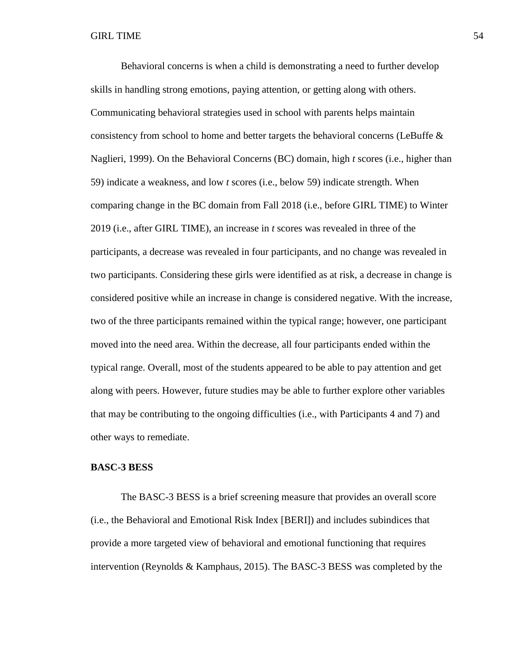Behavioral concerns is when a child is demonstrating a need to further develop skills in handling strong emotions, paying attention, or getting along with others. Communicating behavioral strategies used in school with parents helps maintain consistency from school to home and better targets the behavioral concerns (LeBuffe  $\&$ Naglieri, 1999). On the Behavioral Concerns (BC) domain, high *t* scores (i.e., higher than 59) indicate a weakness, and low *t* scores (i.e., below 59) indicate strength. When comparing change in the BC domain from Fall 2018 (i.e., before GIRL TIME) to Winter 2019 (i.e., after GIRL TIME), an increase in *t* scores was revealed in three of the participants, a decrease was revealed in four participants, and no change was revealed in two participants. Considering these girls were identified as at risk, a decrease in change is considered positive while an increase in change is considered negative. With the increase, two of the three participants remained within the typical range; however, one participant moved into the need area. Within the decrease, all four participants ended within the typical range. Overall, most of the students appeared to be able to pay attention and get along with peers. However, future studies may be able to further explore other variables that may be contributing to the ongoing difficulties (i.e., with Participants 4 and 7) and other ways to remediate.

# **BASC-3 BESS**

The BASC-3 BESS is a brief screening measure that provides an overall score (i.e., the Behavioral and Emotional Risk Index [BERI]) and includes subindices that provide a more targeted view of behavioral and emotional functioning that requires intervention (Reynolds & Kamphaus, 2015). The BASC-3 BESS was completed by the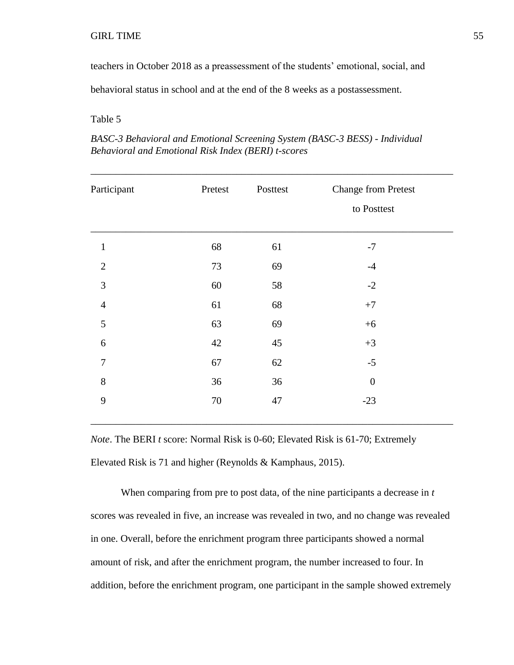teachers in October 2018 as a preassessment of the students' emotional, social, and

behavioral status in school and at the end of the 8 weeks as a postassessment.

### Table 5

| BASC-3 Behavioral and Emotional Screening System (BASC-3 BESS) - Individual |
|-----------------------------------------------------------------------------|
| Behavioral and Emotional Risk Index (BERI) t-scores                         |

| Participant    | Pretest | Posttest | <b>Change from Pretest</b> |
|----------------|---------|----------|----------------------------|
|                |         |          | to Posttest                |
| $\mathbf{1}$   | 68      | 61       | $-7$                       |
| $\overline{2}$ | 73      | 69       | $-4$                       |
| 3              | 60      | 58       | $-2$                       |
| $\overline{4}$ | 61      | 68       | $+7$                       |
| 5              | 63      | 69       | $+6$                       |
| 6              | 42      | 45       | $+3$                       |
| $\overline{7}$ | 67      | 62       | $-5$                       |
| 8              | 36      | 36       | $\boldsymbol{0}$           |
| 9              | 70      | 47       | $-23$                      |

*Note*. The BERI *t* score: Normal Risk is 0-60; Elevated Risk is 61-70; Extremely Elevated Risk is 71 and higher (Reynolds & Kamphaus, 2015).

When comparing from pre to post data, of the nine participants a decrease in *t* scores was revealed in five, an increase was revealed in two, and no change was revealed in one. Overall, before the enrichment program three participants showed a normal amount of risk, and after the enrichment program, the number increased to four. In addition, before the enrichment program, one participant in the sample showed extremely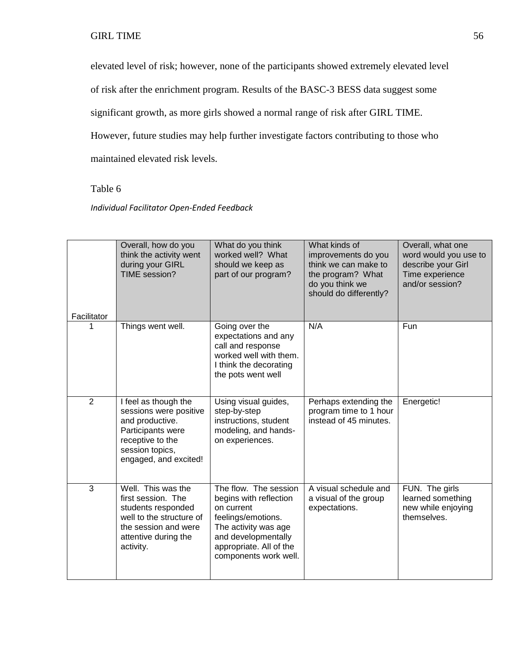elevated level of risk; however, none of the participants showed extremely elevated level

of risk after the enrichment program. Results of the BASC-3 BESS data suggest some

significant growth, as more girls showed a normal range of risk after GIRL TIME.

However, future studies may help further investigate factors contributing to those who

maintained elevated risk levels.

# Table 6

# *Individual Facilitator Open-Ended Feedback*

| Facilitator    | Overall, how do you<br>think the activity went<br>during your GIRL<br>TIME session?                                                                     | What do you think<br>worked well? What<br>should we keep as<br>part of our program?                                                                                                    | What kinds of<br>improvements do you<br>think we can make to<br>the program? What<br>do you think we<br>should do differently? | Overall, what one<br>word would you use to<br>describe your Girl<br>Time experience<br>and/or session? |
|----------------|---------------------------------------------------------------------------------------------------------------------------------------------------------|----------------------------------------------------------------------------------------------------------------------------------------------------------------------------------------|--------------------------------------------------------------------------------------------------------------------------------|--------------------------------------------------------------------------------------------------------|
| 1              | Things went well.                                                                                                                                       | Going over the<br>expectations and any<br>call and response<br>worked well with them.<br>I think the decorating<br>the pots went well                                                  | N/A                                                                                                                            | Fun                                                                                                    |
| $\overline{2}$ | I feel as though the<br>sessions were positive<br>and productive.<br>Participants were<br>receptive to the<br>session topics,<br>engaged, and excited!  | Using visual guides,<br>step-by-step<br>instructions, student<br>modeling, and hands-<br>on experiences.                                                                               | Perhaps extending the<br>program time to 1 hour<br>instead of 45 minutes.                                                      | Energetic!                                                                                             |
| 3              | Well. This was the<br>first session. The<br>students responded<br>well to the structure of<br>the session and were<br>attentive during the<br>activity. | The flow. The session<br>begins with reflection<br>on current<br>feelings/emotions.<br>The activity was age<br>and developmentally<br>appropriate. All of the<br>components work well. | A visual schedule and<br>a visual of the group<br>expectations.                                                                | FUN. The girls<br>learned something<br>new while enjoying<br>themselves.                               |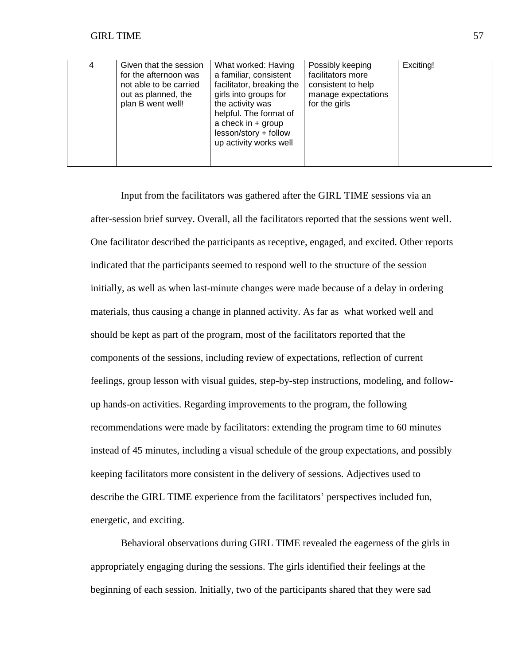| 4 | Given that the session<br>for the afternoon was<br>not able to be carried<br>out as planned, the<br>plan B went well! | What worked: Having<br>a familiar, consistent<br>facilitator, breaking the<br>girls into groups for<br>the activity was<br>helpful. The format of<br>a check in $+$ group<br>lesson/story + follow<br>up activity works well | Possibly keeping<br>facilitators more<br>consistent to help<br>manage expectations<br>for the girls | Exciting! |
|---|-----------------------------------------------------------------------------------------------------------------------|------------------------------------------------------------------------------------------------------------------------------------------------------------------------------------------------------------------------------|-----------------------------------------------------------------------------------------------------|-----------|
|---|-----------------------------------------------------------------------------------------------------------------------|------------------------------------------------------------------------------------------------------------------------------------------------------------------------------------------------------------------------------|-----------------------------------------------------------------------------------------------------|-----------|

Input from the facilitators was gathered after the GIRL TIME sessions via an after-session brief survey. Overall, all the facilitators reported that the sessions went well. One facilitator described the participants as receptive, engaged, and excited. Other reports indicated that the participants seemed to respond well to the structure of the session initially, as well as when last-minute changes were made because of a delay in ordering materials, thus causing a change in planned activity. As far as what worked well and should be kept as part of the program, most of the facilitators reported that the components of the sessions, including review of expectations, reflection of current feelings, group lesson with visual guides, step-by-step instructions, modeling, and followup hands-on activities. Regarding improvements to the program, the following recommendations were made by facilitators: extending the program time to 60 minutes instead of 45 minutes, including a visual schedule of the group expectations, and possibly keeping facilitators more consistent in the delivery of sessions. Adjectives used to describe the GIRL TIME experience from the facilitators' perspectives included fun, energetic, and exciting.

Behavioral observations during GIRL TIME revealed the eagerness of the girls in appropriately engaging during the sessions. The girls identified their feelings at the beginning of each session. Initially, two of the participants shared that they were sad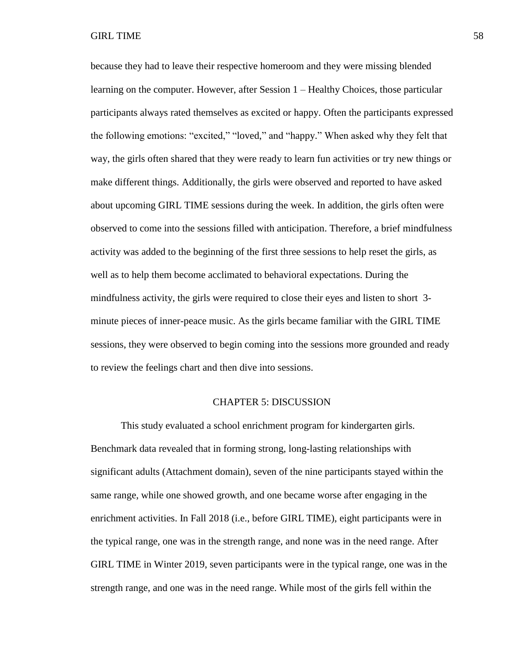because they had to leave their respective homeroom and they were missing blended learning on the computer. However, after Session 1 – Healthy Choices, those particular participants always rated themselves as excited or happy. Often the participants expressed the following emotions: "excited," "loved," and "happy." When asked why they felt that way, the girls often shared that they were ready to learn fun activities or try new things or make different things. Additionally, the girls were observed and reported to have asked about upcoming GIRL TIME sessions during the week. In addition, the girls often were observed to come into the sessions filled with anticipation. Therefore, a brief mindfulness activity was added to the beginning of the first three sessions to help reset the girls, as well as to help them become acclimated to behavioral expectations. During the mindfulness activity, the girls were required to close their eyes and listen to short 3 minute pieces of inner-peace music. As the girls became familiar with the GIRL TIME sessions, they were observed to begin coming into the sessions more grounded and ready to review the feelings chart and then dive into sessions.

### CHAPTER 5: DISCUSSION

This study evaluated a school enrichment program for kindergarten girls. Benchmark data revealed that in forming strong, long-lasting relationships with significant adults (Attachment domain), seven of the nine participants stayed within the same range, while one showed growth, and one became worse after engaging in the enrichment activities. In Fall 2018 (i.e., before GIRL TIME), eight participants were in the typical range, one was in the strength range, and none was in the need range. After GIRL TIME in Winter 2019, seven participants were in the typical range, one was in the strength range, and one was in the need range. While most of the girls fell within the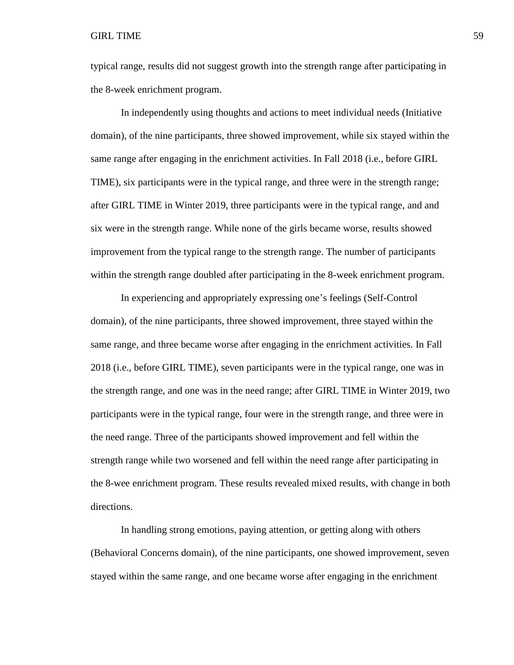typical range, results did not suggest growth into the strength range after participating in the 8-week enrichment program.

In independently using thoughts and actions to meet individual needs (Initiative domain), of the nine participants, three showed improvement, while six stayed within the same range after engaging in the enrichment activities. In Fall 2018 (i.e., before GIRL TIME), six participants were in the typical range, and three were in the strength range; after GIRL TIME in Winter 2019, three participants were in the typical range, and and six were in the strength range. While none of the girls became worse, results showed improvement from the typical range to the strength range. The number of participants within the strength range doubled after participating in the 8-week enrichment program.

In experiencing and appropriately expressing one's feelings (Self-Control domain), of the nine participants, three showed improvement, three stayed within the same range, and three became worse after engaging in the enrichment activities. In Fall 2018 (i.e., before GIRL TIME), seven participants were in the typical range, one was in the strength range, and one was in the need range; after GIRL TIME in Winter 2019, two participants were in the typical range, four were in the strength range, and three were in the need range. Three of the participants showed improvement and fell within the strength range while two worsened and fell within the need range after participating in the 8-wee enrichment program. These results revealed mixed results, with change in both directions.

In handling strong emotions, paying attention, or getting along with others (Behavioral Concerns domain), of the nine participants, one showed improvement, seven stayed within the same range, and one became worse after engaging in the enrichment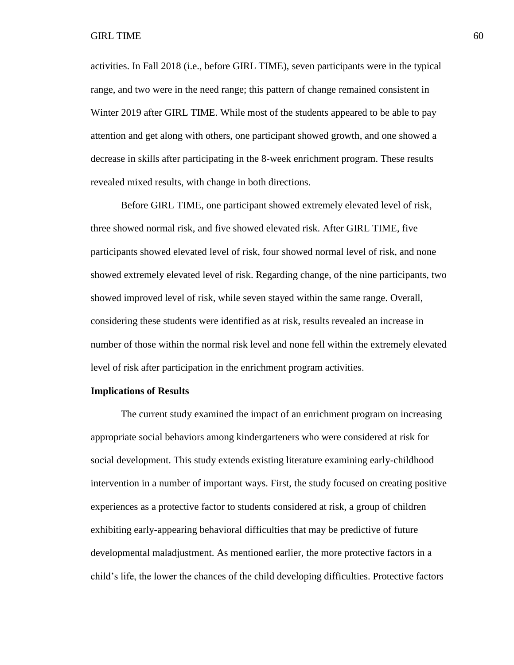activities. In Fall 2018 (i.e., before GIRL TIME), seven participants were in the typical range, and two were in the need range; this pattern of change remained consistent in Winter 2019 after GIRL TIME. While most of the students appeared to be able to pay attention and get along with others, one participant showed growth, and one showed a decrease in skills after participating in the 8-week enrichment program. These results revealed mixed results, with change in both directions.

Before GIRL TIME, one participant showed extremely elevated level of risk, three showed normal risk, and five showed elevated risk. After GIRL TIME, five participants showed elevated level of risk, four showed normal level of risk, and none showed extremely elevated level of risk. Regarding change, of the nine participants, two showed improved level of risk, while seven stayed within the same range. Overall, considering these students were identified as at risk, results revealed an increase in number of those within the normal risk level and none fell within the extremely elevated level of risk after participation in the enrichment program activities.

### **Implications of Results**

The current study examined the impact of an enrichment program on increasing appropriate social behaviors among kindergarteners who were considered at risk for social development. This study extends existing literature examining early-childhood intervention in a number of important ways. First, the study focused on creating positive experiences as a protective factor to students considered at risk, a group of children exhibiting early-appearing behavioral difficulties that may be predictive of future developmental maladjustment. As mentioned earlier, the more protective factors in a child's life, the lower the chances of the child developing difficulties. Protective factors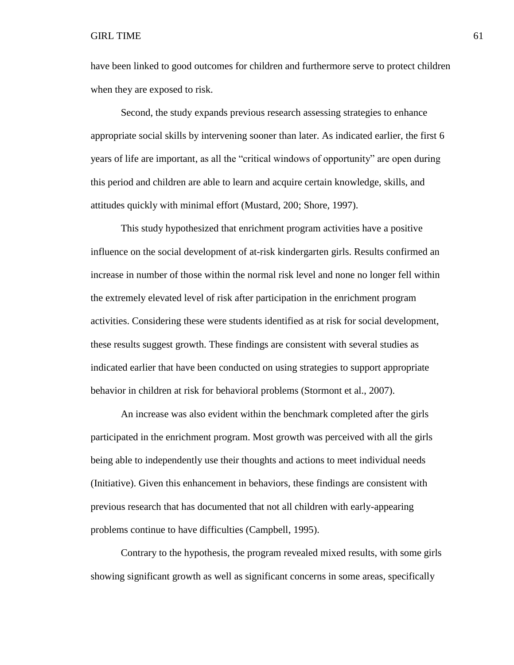### GIRL TIME  $\qquad \qquad 61$

have been linked to good outcomes for children and furthermore serve to protect children when they are exposed to risk.

Second, the study expands previous research assessing strategies to enhance appropriate social skills by intervening sooner than later. As indicated earlier, the first 6 years of life are important, as all the "critical windows of opportunity" are open during this period and children are able to learn and acquire certain knowledge, skills, and attitudes quickly with minimal effort (Mustard, 200; Shore, 1997).

This study hypothesized that enrichment program activities have a positive influence on the social development of at-risk kindergarten girls. Results confirmed an increase in number of those within the normal risk level and none no longer fell within the extremely elevated level of risk after participation in the enrichment program activities. Considering these were students identified as at risk for social development, these results suggest growth. These findings are consistent with several studies as indicated earlier that have been conducted on using strategies to support appropriate behavior in children at risk for behavioral problems (Stormont et al., 2007).

An increase was also evident within the benchmark completed after the girls participated in the enrichment program. Most growth was perceived with all the girls being able to independently use their thoughts and actions to meet individual needs (Initiative). Given this enhancement in behaviors, these findings are consistent with previous research that has documented that not all children with early-appearing problems continue to have difficulties (Campbell, 1995).

Contrary to the hypothesis, the program revealed mixed results, with some girls showing significant growth as well as significant concerns in some areas, specifically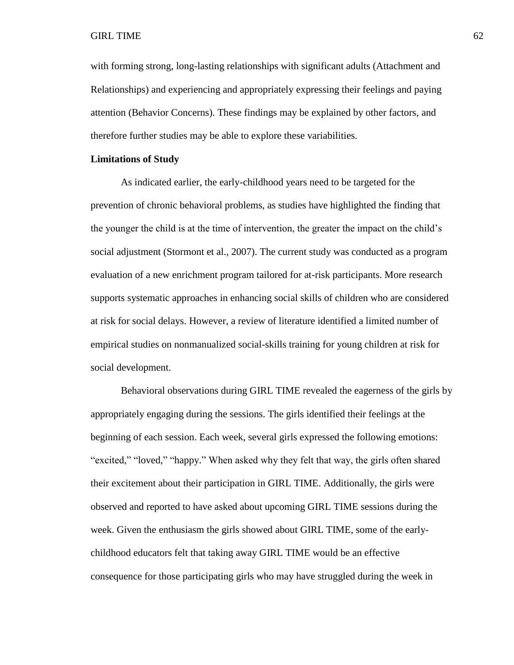### GIRL TIME  $\qquad \qquad \qquad 62$

with forming strong, long-lasting relationships with significant adults (Attachment and Relationships) and experiencing and appropriately expressing their feelings and paying attention (Behavior Concerns). These findings may be explained by other factors, and therefore further studies may be able to explore these variabilities.

# **Limitations of Study**

As indicated earlier, the early-childhood years need to be targeted for the prevention of chronic behavioral problems, as studies have highlighted the finding that the younger the child is at the time of intervention, the greater the impact on the child's social adjustment (Stormont et al., 2007). The current study was conducted as a program evaluation of a new enrichment program tailored for at-risk participants. More research supports systematic approaches in enhancing social skills of children who are considered at risk for social delays. However, a review of literature identified a limited number of empirical studies on nonmanualized social-skills training for young children at risk for social development.

Behavioral observations during GIRL TIME revealed the eagerness of the girls by appropriately engaging during the sessions. The girls identified their feelings at the beginning of each session. Each week, several girls expressed the following emotions: "excited," "loved," "happy." When asked why they felt that way, the girls often shared their excitement about their participation in GIRL TIME. Additionally, the girls were observed and reported to have asked about upcoming GIRL TIME sessions during the week. Given the enthusiasm the girls showed about GIRL TIME, some of the earlychildhood educators felt that taking away GIRL TIME would be an effective consequence for those participating girls who may have struggled during the week in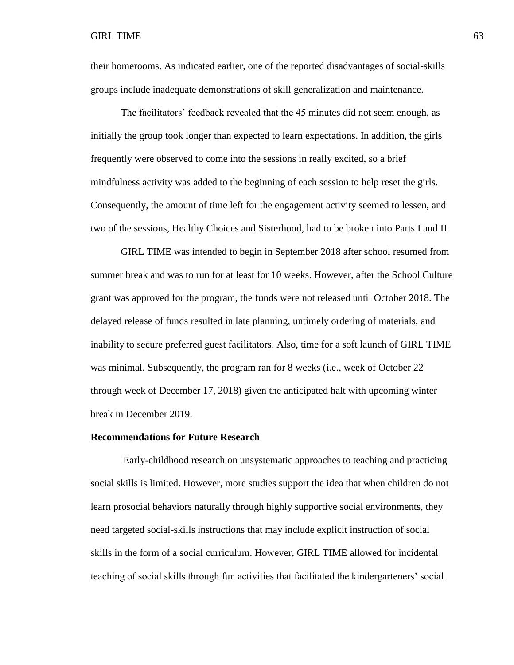their homerooms. As indicated earlier, one of the reported disadvantages of social-skills groups include inadequate demonstrations of skill generalization and maintenance.

The facilitators' feedback revealed that the 45 minutes did not seem enough, as initially the group took longer than expected to learn expectations. In addition, the girls frequently were observed to come into the sessions in really excited, so a brief mindfulness activity was added to the beginning of each session to help reset the girls. Consequently, the amount of time left for the engagement activity seemed to lessen, and two of the sessions, Healthy Choices and Sisterhood, had to be broken into Parts I and II.

GIRL TIME was intended to begin in September 2018 after school resumed from summer break and was to run for at least for 10 weeks. However, after the School Culture grant was approved for the program, the funds were not released until October 2018. The delayed release of funds resulted in late planning, untimely ordering of materials, and inability to secure preferred guest facilitators. Also, time for a soft launch of GIRL TIME was minimal. Subsequently, the program ran for 8 weeks (i.e., week of October 22 through week of December 17, 2018) given the anticipated halt with upcoming winter break in December 2019.

### **Recommendations for Future Research**

Early-childhood research on unsystematic approaches to teaching and practicing social skills is limited. However, more studies support the idea that when children do not learn prosocial behaviors naturally through highly supportive social environments, they need targeted social-skills instructions that may include explicit instruction of social skills in the form of a social curriculum. However, GIRL TIME allowed for incidental teaching of social skills through fun activities that facilitated the kindergarteners' social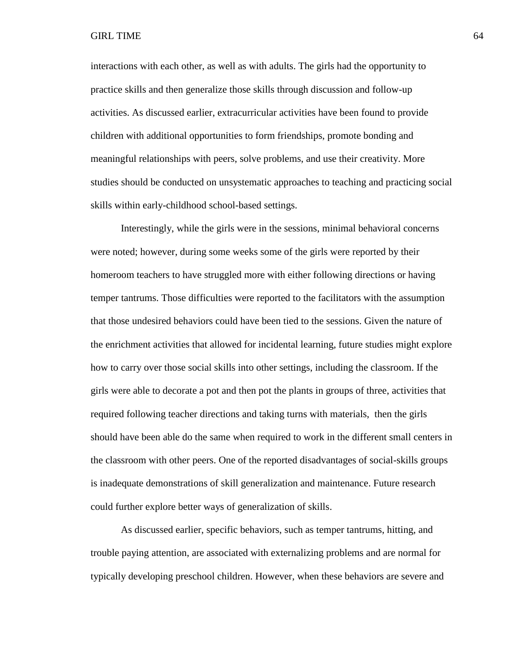interactions with each other, as well as with adults. The girls had the opportunity to practice skills and then generalize those skills through discussion and follow-up activities. As discussed earlier, extracurricular activities have been found to provide children with additional opportunities to form friendships, promote bonding and meaningful relationships with peers, solve problems, and use their creativity. More studies should be conducted on unsystematic approaches to teaching and practicing social skills within early-childhood school-based settings.

Interestingly, while the girls were in the sessions, minimal behavioral concerns were noted; however, during some weeks some of the girls were reported by their homeroom teachers to have struggled more with either following directions or having temper tantrums. Those difficulties were reported to the facilitators with the assumption that those undesired behaviors could have been tied to the sessions. Given the nature of the enrichment activities that allowed for incidental learning, future studies might explore how to carry over those social skills into other settings, including the classroom. If the girls were able to decorate a pot and then pot the plants in groups of three, activities that required following teacher directions and taking turns with materials, then the girls should have been able do the same when required to work in the different small centers in the classroom with other peers. One of the reported disadvantages of social-skills groups is inadequate demonstrations of skill generalization and maintenance. Future research could further explore better ways of generalization of skills.

As discussed earlier, specific behaviors, such as temper tantrums, hitting, and trouble paying attention, are associated with externalizing problems and are normal for typically developing preschool children. However, when these behaviors are severe and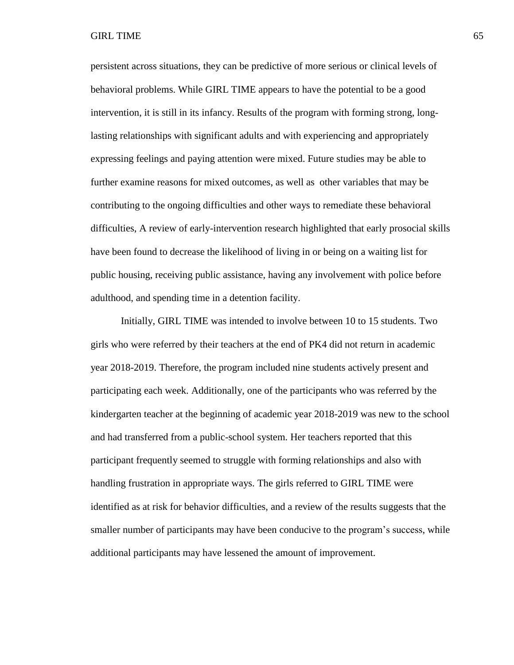persistent across situations, they can be predictive of more serious or clinical levels of behavioral problems. While GIRL TIME appears to have the potential to be a good intervention, it is still in its infancy. Results of the program with forming strong, longlasting relationships with significant adults and with experiencing and appropriately expressing feelings and paying attention were mixed. Future studies may be able to further examine reasons for mixed outcomes, as well as other variables that may be contributing to the ongoing difficulties and other ways to remediate these behavioral difficulties, A review of early-intervention research highlighted that early prosocial skills have been found to decrease the likelihood of living in or being on a waiting list for public housing, receiving public assistance, having any involvement with police before adulthood, and spending time in a detention facility.

Initially, GIRL TIME was intended to involve between 10 to 15 students. Two girls who were referred by their teachers at the end of PK4 did not return in academic year 2018-2019. Therefore, the program included nine students actively present and participating each week. Additionally, one of the participants who was referred by the kindergarten teacher at the beginning of academic year 2018-2019 was new to the school and had transferred from a public-school system. Her teachers reported that this participant frequently seemed to struggle with forming relationships and also with handling frustration in appropriate ways. The girls referred to GIRL TIME were identified as at risk for behavior difficulties, and a review of the results suggests that the smaller number of participants may have been conducive to the program's success, while additional participants may have lessened the amount of improvement.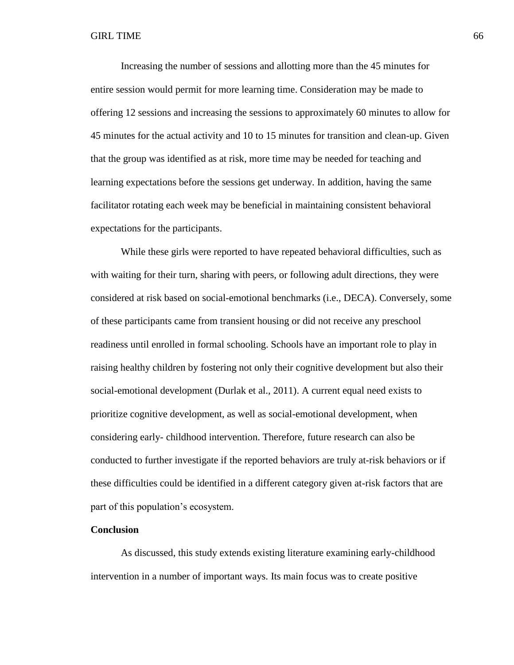Increasing the number of sessions and allotting more than the 45 minutes for entire session would permit for more learning time. Consideration may be made to offering 12 sessions and increasing the sessions to approximately 60 minutes to allow for 45 minutes for the actual activity and 10 to 15 minutes for transition and clean-up. Given that the group was identified as at risk, more time may be needed for teaching and learning expectations before the sessions get underway. In addition, having the same facilitator rotating each week may be beneficial in maintaining consistent behavioral expectations for the participants.

While these girls were reported to have repeated behavioral difficulties, such as with waiting for their turn, sharing with peers, or following adult directions, they were considered at risk based on social-emotional benchmarks (i.e., DECA). Conversely, some of these participants came from transient housing or did not receive any preschool readiness until enrolled in formal schooling. Schools have an important role to play in raising healthy children by fostering not only their cognitive development but also their social-emotional development (Durlak et al., 2011). A current equal need exists to prioritize cognitive development, as well as social-emotional development, when considering early- childhood intervention. Therefore, future research can also be conducted to further investigate if the reported behaviors are truly at-risk behaviors or if these difficulties could be identified in a different category given at-risk factors that are part of this population's ecosystem.

## **Conclusion**

As discussed, this study extends existing literature examining early-childhood intervention in a number of important ways. Its main focus was to create positive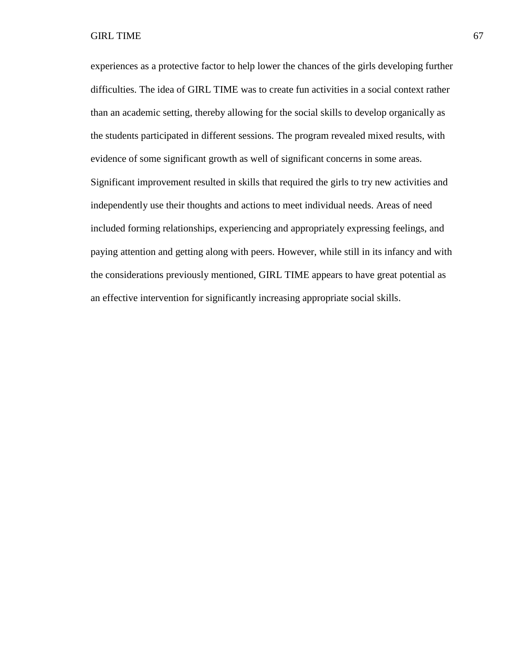GIRL TIME 67

experiences as a protective factor to help lower the chances of the girls developing further difficulties. The idea of GIRL TIME was to create fun activities in a social context rather than an academic setting, thereby allowing for the social skills to develop organically as the students participated in different sessions. The program revealed mixed results, with evidence of some significant growth as well of significant concerns in some areas. Significant improvement resulted in skills that required the girls to try new activities and independently use their thoughts and actions to meet individual needs. Areas of need included forming relationships, experiencing and appropriately expressing feelings, and paying attention and getting along with peers. However, while still in its infancy and with the considerations previously mentioned, GIRL TIME appears to have great potential as an effective intervention for significantly increasing appropriate social skills.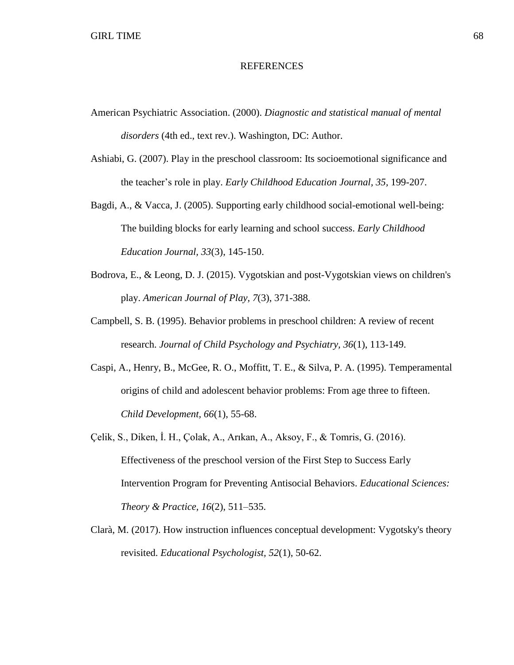## **REFERENCES**

- American Psychiatric Association. (2000). *Diagnostic and statistical manual of mental disorders* (4th ed., text rev.). Washington, DC: Author.
- Ashiabi, G. (2007). Play in the preschool classroom: Its socioemotional significance and the teacher's role in play. *Early Childhood Education Journal, 35,* 199-207.
- Bagdi, A., & Vacca, J. (2005). Supporting early childhood social-emotional well-being: The building blocks for early learning and school success. *Early Childhood Education Journal, 33*(3), 145-150.
- Bodrova, E., & Leong, D. J. (2015). Vygotskian and post-Vygotskian views on children's play. *American Journal of Play, 7*(3), 371-388.
- Campbell, S. B. (1995). Behavior problems in preschool children: A review of recent research. *Journal of Child Psychology and Psychiatry, 36*(1), 113-149.
- Caspi, A., Henry, B., McGee, R. O., Moffitt, T. E., & Silva, P. A. (1995). Temperamental origins of child and adolescent behavior problems: From age three to fifteen. *Child Development, 66*(1), 55-68.
- Çelik, S., Diken, İ. H., Çolak, A., Arıkan, A., Aksoy, F., & Tomris, G. (2016). Effectiveness of the preschool version of the First Step to Success Early Intervention Program for Preventing Antisocial Behaviors. *Educational Sciences: Theory & Practice, 16*(2), 511–535.
- Clarà, M. (2017). How instruction influences conceptual development: Vygotsky's theory revisited. *Educational Psychologist, 52*(1), 50-62.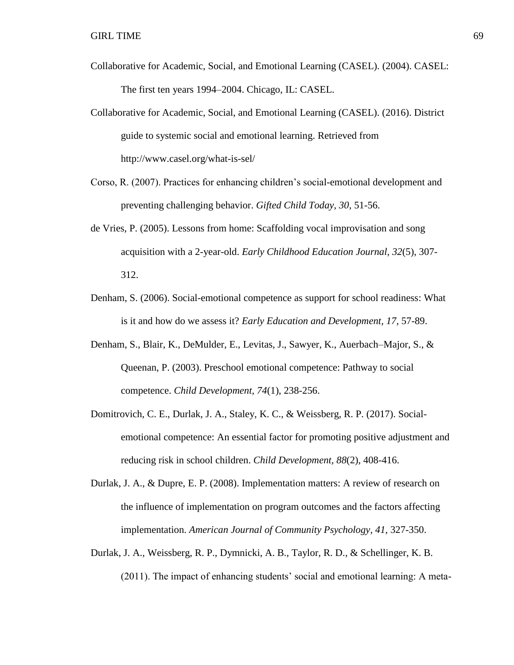- Collaborative for Academic, Social, and Emotional Learning (CASEL). (2004). CASEL: The first ten years 1994–2004. Chicago, IL: CASEL.
- Collaborative for Academic, Social, and Emotional Learning (CASEL). (2016). District guide to systemic social and emotional learning. Retrieved from http://www.casel.org/what-is-sel/
- Corso, R. (2007). Practices for enhancing children's social-emotional development and preventing challenging behavior. *Gifted Child Today, 30,* 51-56.
- de Vries, P. (2005). Lessons from home: Scaffolding vocal improvisation and song acquisition with a 2-year-old. *Early Childhood Education Journal, 32*(5), 307- 312.
- Denham, S. (2006). Social-emotional competence as support for school readiness: What is it and how do we assess it? *Early Education and Development, 17,* 57-89.
- Denham, S., Blair, K., DeMulder, E., Levitas, J., Sawyer, K., Auerbach–Major, S., & Queenan, P. (2003). Preschool emotional competence: Pathway to social competence. *Child Development, 74*(1), 238-256.
- Domitrovich, C. E., Durlak, J. A., Staley, K. C., & Weissberg, R. P. (2017). Socialemotional competence: An essential factor for promoting positive adjustment and reducing risk in school children. *Child Development, 88*(2), 408-416.
- Durlak, J. A., & Dupre, E. P. (2008). Implementation matters: A review of research on the influence of implementation on program outcomes and the factors affecting implementation. *American Journal of Community Psychology, 41,* 327-350.
- Durlak, J. A., Weissberg, R. P., Dymnicki, A. B., Taylor, R. D., & Schellinger, K. B. (2011). The impact of enhancing students' social and emotional learning: A meta-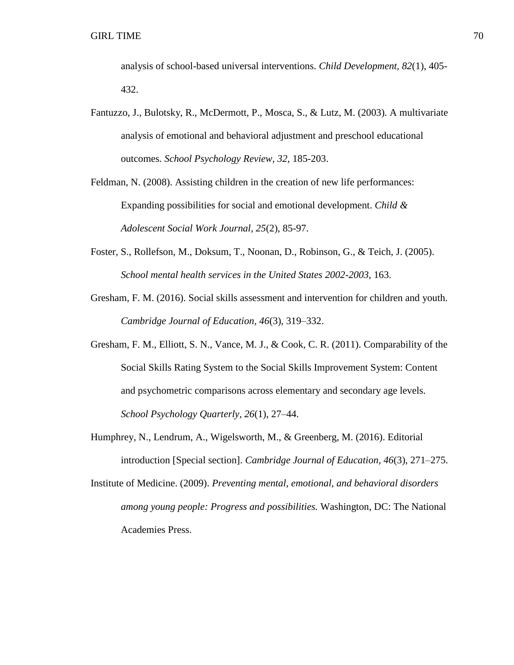analysis of school-based universal interventions. *Child Development, 82*(1), 405- 432.

- Fantuzzo, J., Bulotsky, R., McDermott, P., Mosca, S., & Lutz, M. (2003). A multivariate analysis of emotional and behavioral adjustment and preschool educational outcomes*. School Psychology Review, 32,* 185-203.
- Feldman, N. (2008). Assisting children in the creation of new life performances: Expanding possibilities for social and emotional development. *Child & Adolescent Social Work Journal, 25*(2), 85-97.
- Foster, S., Rollefson, M., Doksum, T., Noonan, D., Robinson, G., & Teich, J. (2005). *School mental health services in the United States 2002-2003*, 163.
- Gresham, F. M. (2016). Social skills assessment and intervention for children and youth. *Cambridge Journal of Education, 46*(3), 319–332.
- Gresham, F. M., Elliott, S. N., Vance, M. J., & Cook, C. R. (2011). Comparability of the Social Skills Rating System to the Social Skills Improvement System: Content and psychometric comparisons across elementary and secondary age levels. *School Psychology Quarterly, 26*(1), 27–44.
- Humphrey, N., Lendrum, A., Wigelsworth, M., & Greenberg, M. (2016). Editorial introduction [Special section]. *Cambridge Journal of Education, 46*(3), 271–275.
- Institute of Medicine. (2009). *Preventing mental, emotional, and behavioral disorders among young people: Progress and possibilities.* Washington, DC: The National Academies Press.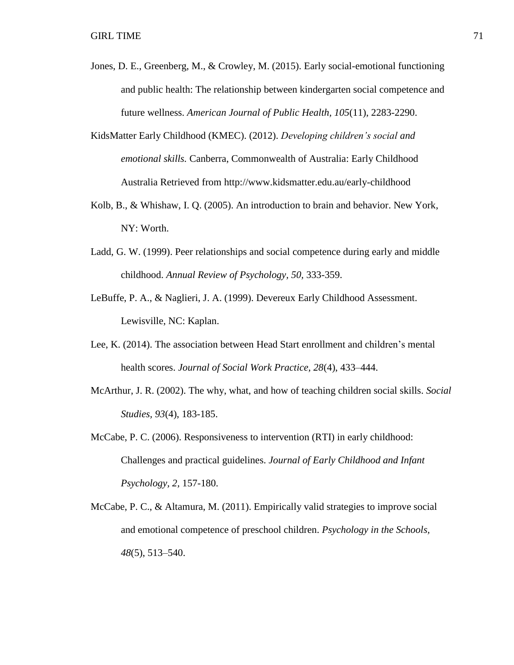- Jones, D. E., Greenberg, M., & Crowley, M. (2015). Early social-emotional functioning and public health: The relationship between kindergarten social competence and future wellness. *American Journal of Public Health, 105*(11), 2283-2290.
- KidsMatter Early Childhood (KMEC). (2012). *Developing children's social and emotional skills.* Canberra, Commonwealth of Australia: Early Childhood Australia Retrieved from http://www.kidsmatter.edu.au/early-childhood
- Kolb, B., & Whishaw, I. Q. (2005). An introduction to brain and behavior. New York, NY: Worth.
- Ladd, G. W. (1999). Peer relationships and social competence during early and middle childhood. *Annual Review of Psychology, 50,* 333-359.
- LeBuffe, P. A., & Naglieri, J. A. (1999). Devereux Early Childhood Assessment. Lewisville, NC: Kaplan.
- Lee, K. (2014). The association between Head Start enrollment and children's mental health scores. *Journal of Social Work Practice, 28*(4), 433–444.
- McArthur, J. R. (2002). The why, what, and how of teaching children social skills. *Social Studies, 93*(4), 183-185.
- McCabe, P. C. (2006). Responsiveness to intervention (RTI) in early childhood: Challenges and practical guidelines. *Journal of Early Childhood and Infant Psychology, 2,* 157-180.
- McCabe, P. C., & Altamura, M. (2011). Empirically valid strategies to improve social and emotional competence of preschool children. *Psychology in the Schools, 48*(5), 513–540.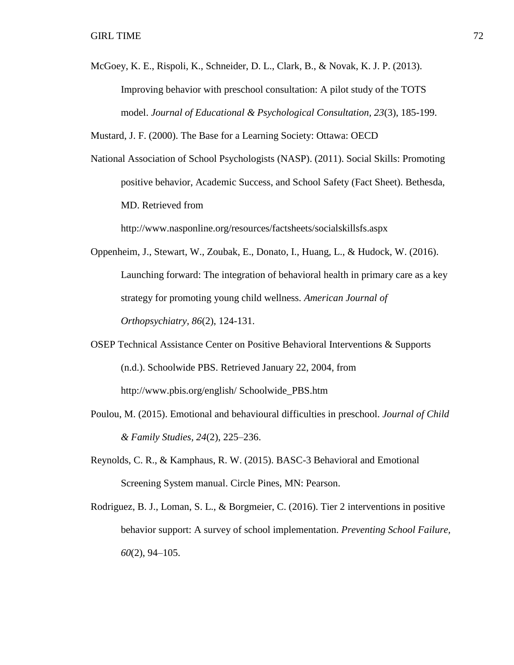McGoey, K. E., Rispoli, K., Schneider, D. L., Clark, B., & Novak, K. J. P. (2013). Improving behavior with preschool consultation: A pilot study of the TOTS model. *Journal of Educational & Psychological Consultation, 23*(3), 185-199.

Mustard, J. F. (2000). The Base for a Learning Society: Ottawa: OECD

National Association of School Psychologists (NASP). (2011). Social Skills: Promoting positive behavior, Academic Success, and School Safety (Fact Sheet). Bethesda, MD. Retrieved from

http://www.nasponline.org/resources/factsheets/socialskillsfs.aspx

- Oppenheim, J., Stewart, W., Zoubak, E., Donato, I., Huang, L., & Hudock, W. (2016). Launching forward: The integration of behavioral health in primary care as a key strategy for promoting young child wellness*. American Journal of Orthopsychiatry, 86*(2), 124-131.
- OSEP Technical Assistance Center on Positive Behavioral Interventions & Supports (n.d.). Schoolwide PBS. Retrieved January 22, 2004, from http://www.pbis.org/english/ Schoolwide\_PBS.htm
- Poulou, M. (2015). Emotional and behavioural difficulties in preschool. *Journal of Child & Family Studies, 24*(2), 225–236.
- Reynolds, C. R., & Kamphaus, R. W. (2015). BASC-3 Behavioral and Emotional Screening System manual. Circle Pines, MN: Pearson.
- Rodriguez, B. J., Loman, S. L., & Borgmeier, C. (2016). Tier 2 interventions in positive behavior support: A survey of school implementation. *Preventing School Failure, 60*(2), 94–105.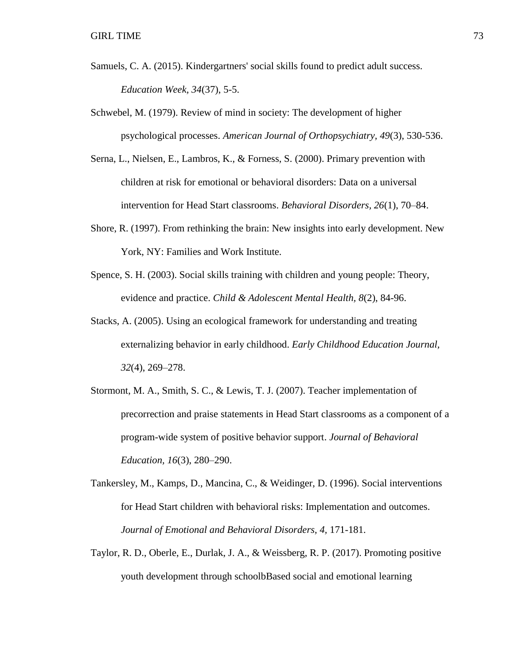- Samuels, C. A. (2015). Kindergartners' social skills found to predict adult success. *Education Week, 34*(37), 5-5.
- Schwebel, M. (1979). Review of mind in society: The development of higher psychological processes. *American Journal of Orthopsychiatry, 49*(3), 530-536.
- Serna, L., Nielsen, E., Lambros, K., & Forness, S. (2000). Primary prevention with children at risk for emotional or behavioral disorders: Data on a universal intervention for Head Start classrooms. *Behavioral Disorders, 26*(1), 70–84.
- Shore, R. (1997). From rethinking the brain: New insights into early development. New York, NY: Families and Work Institute.
- Spence, S. H. (2003). Social skills training with children and young people: Theory, evidence and practice. *Child & Adolescent Mental Health, 8*(2), 84-96.
- Stacks, A. (2005). Using an ecological framework for understanding and treating externalizing behavior in early childhood. *Early Childhood Education Journal, 32*(4), 269–278.
- Stormont, M. A., Smith, S. C., & Lewis, T. J. (2007). Teacher implementation of precorrection and praise statements in Head Start classrooms as a component of a program-wide system of positive behavior support. *Journal of Behavioral Education, 16*(3), 280–290.
- Tankersley, M., Kamps, D., Mancina, C., & Weidinger, D. (1996). Social interventions for Head Start children with behavioral risks: Implementation and outcomes. *Journal of Emotional and Behavioral Disorders, 4,* 171-181.
- Taylor, R. D., Oberle, E., Durlak, J. A., & Weissberg, R. P. (2017). Promoting positive youth development through schoolbBased social and emotional learning